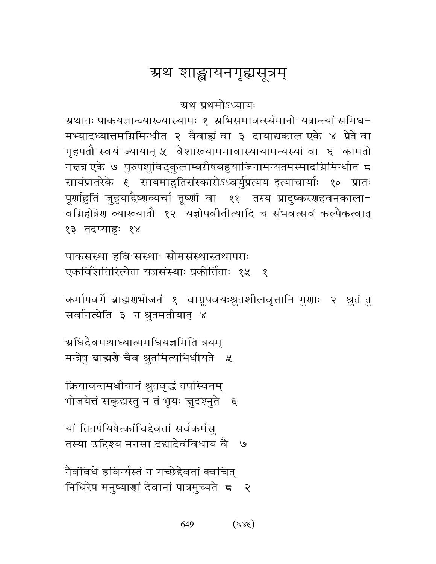# ग्रथ शाङ्खायनगृह्यसूत्रम्

ग्रथ प्रथमोऽध्यायः

ग्रथातः पाकयज्ञान्व्याख्यास्यामः १ ग्रभिसमावर्त्स्यमानो यत्रान्त्यां समिध-मभ्यादध्यात्तमग्निमिन्धीत २ वैवाह्यं वा ३ दायाद्यकाल एके ४ प्रेते वा गृहपतौ स्वयं ज्यायान् ५ वैशाख्याममावास्यायामन्यस्यां वा ६ कामतो नद्मत्र एके ७ पुरुपशुविट्कुलाम्बरीषबहुयाजिनामन्यतमस्मादग्निमिन्धीत ८ सायंप्रातरेके ६ सायमाहुतिसंस्कारोऽध्वर्युप्रत्यय इत्याचार्याः १० प्रातः पूर्णाहुतिं जुहुयाद्वैष्णव्यर्चा तूष्णीं वा ११ तस्य प्रादुष्करणहवनकाला-वम्रिहोत्रेण व्याख्यातौ १२ यज्ञोपवीतीत्यादि च संभवत्सर्वं कल्पैकत्वात् १३ तदप्याहुः १४

पाकसंस्था हविःसंस्थाः सोमसंस्थास्तथापराः एकविँशतिरित्येता यज्ञसंस्थाः प्रकीर्तिताः १५  $\mathcal{S}_{\mathcal{S}}$ 

कर्मापवर्गे ब्राह्मणभोजनं १ वाग्रूपवयःश्रुतशीलवृत्तानि गुणाः २ श्रुतं तु सर्वानत्येति ३ न श्रुतमतीयात् ४

ग्र्यधिदैवमथाध्यात्ममधियज्ञमिति त्रयम् मन्त्रेषु ब्राह्मणे चैव श्रुतमित्यभिधीयते ५

क्रियावन्तमधीयानं श्रुतवृद्धं तपस्विनम् भोजयेत्तं सकृद्यस्तु न तं भूयः चुदश्नुते ६

यां तितर्पयिषेत्कांचिद्देवतां सर्वकर्मस तस्या उद्दिश्य मनसा दद्यादेवंविधाय वै ७

नैवंविधे हविर्न्यस्तं न गच्छेद्देवतां क्वचित् निधिरेष मनुष्याणां देवानां पात्रमुच्यते २

> $(3x)$ 649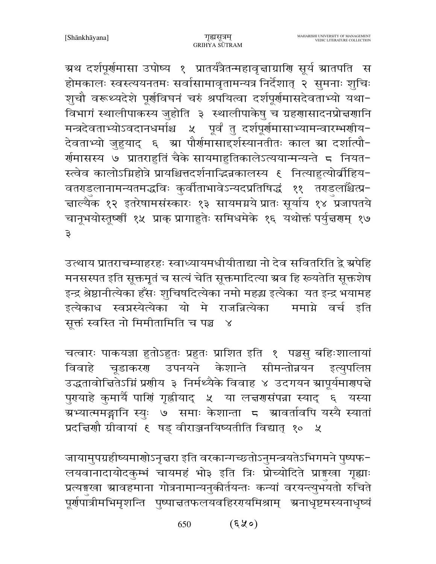ग्रथ दर्शपूर्णमासा उपोष्य १ प्रातर्यत्रैतन्महावृत्ताग्राणि सूर्य स्रातपति स होमकालः स्वस्त्ययनतमः सर्वासामावृतामन्यत्र निर्देशात् २ सुमनाः शुचिः शुचौ वरूथ्यदेशे पूर्णविघनं चरुं श्रपयित्वा दर्शपूर्णमासदेवताभ्यो यथा-विभागं स्थालीपाकस्य जुहोति ३ स्थालीपाकेषु च ग्रहणासादनप्रोत्तणानि मन्त्रदेवताभ्योऽवदानधर्माश्च ५ पूर्वं तु दर्शपूर्णमासाभ्यामन्वारम्भणीय-देवताभ्यो जुहुयाद् ६ म्रा पौर्णमासाद्दर्शस्यानतीतः काल म्रा दर्शात्पौ-र्गमासस्य ७ प्रातराहुतिं चैके सायमाहुतिकालेऽत्ययान्मन्यन्ते ८ नियत-स्त्वेव कालोऽग्निहोत्रे प्रायश्चित्तदर्शनाद्धिज्ञकालस्य १ नित्याहुत्योर्वीहिय-वतराडलानामन्यतमद्धविः कुर्वीताभावेऽन्यदप्रतिषिद्धं ११ तराडलाँश्चेत्प्र-चाल्यैक १२ इतरेषामसंस्कारः १३ सायमग्नये प्रातः सूर्याय १४ प्रजापतये चानूभयोस्तूष्णीं १५ प्राक् प्रागाहुतेः समिधमेके १६ यथोक्तं पर्युत्तराम् १७ ३

उत्थाय प्रातराचम्याहरहः स्वाध्यायमधीयीताद्या नो देव सवितरिति द्वे ग्रपेहि मनसस्पत इति सूक्तमूतं च सत्यं चेति सूक्तमादित्या ग्रव हि ख्यतेति सूक्तशेष इन्द्र श्रेष्ठानीत्येका हँसः शुचिषदित्येका नमो महद्ध इत्येका यत इन्द्र भयामह इत्येकाध स्वप्नस्येत्येका यो मे राजन्नित्येका ममाग्ने वर्च इति सूक्तं स्वस्ति नो मिमीतामिति च पञ्च  $\mathbb{R}^2$ 

चत्वारः पाकयज्ञा हुतोऽहुतः प्रहुतः प्राशित इति १ पञ्चसु बहिःशालायां विवाहे चूडाकरण उपनयने केशान्ते सीमन्तोन्नयन इत्युपलिप्त उद्धतावोचितेऽग्निं प्रणीय ३ निर्मथ्यैके विवाह ४ उदगयन स्रापूर्यमारण्यचे पुरायाहे कुमार्यै पाणिं गृह्रीयाद् ५ या लच्चणसंपन्ना स्याद् ६ यस्या ग्रभ्यात्ममङ्गानि स्युः ७ समाः केशान्ता ८ ग्रावर्तावपि यस्यै स्यातां प्रदत्तिर्णौ ग्रीवायां ६ षड् वीराञ्जनयिष्यतीति विद्यात् १० ५

जायामुपग्रहीष्यमाणोऽनृत्तरा इति वरकान्गच्छतोऽनुमन्त्रयतेऽभिगमने पुष्पफ-लयवानादायोदकुम्भं चायमहं भो३ इति त्रिः प्रोच्योदिते प्राङ्गस्वा गृह्याः प्रत्यङ्गखा स्रावहमाना गोत्रनामान्यनुकीर्तयन्तः कन्यां वरयन्त्युभयतो रुचिते पूर्णपात्रीमभिमृशन्ति पुष्पान्नतफलयवहिररपयमिश्राम् अनाधृष्टमस्यनाधृष्यं

> $($ 9 $\times$ 8) 650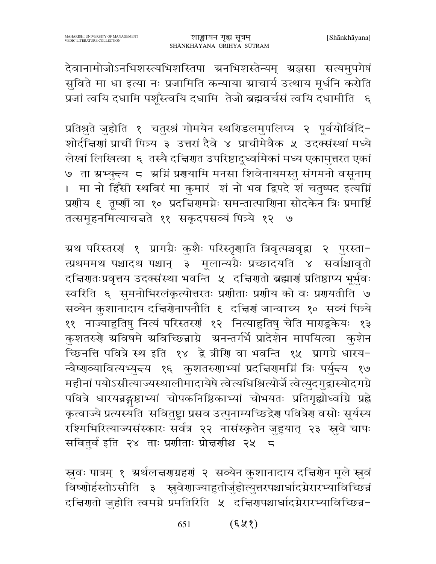देवानामोजोऽनभिशस्त्यभिशस्तिपा ग्रनभिशस्तेन्यम् ग्रञ्जसा सत्यमुपगेषं सुविते मा धा इत्या नः प्रजामिति कन्याया स्राचार्य उत्थाय मूर्धनि करोति प्रजां त्वयि दधामि पशूँस्त्वयि दधामि तेजो ब्रह्मवर्चसं त्वयि दधामीति । ६

प्रतिश्रुते जुहोति १ चतुरश्रं गोमयेन स्थरिडलमुपलिप्य २ पूर्वयोर्विदि-शोर्दान्नणां प्राचीं पित्र्य ३ उत्तरां दैवे ४ प्राचीमेवैक ५ उदक्संस्थां मध्ये लेखां लिखित्वा ६ तस्यै दचिरणत उपरिष्टादूध्वमिकां मध्य एकामुत्तरत एकां ७ ता ग्रभ्युन्त्य ८ अग्निं प्रगयामि मनसा शिवेनायमस्तु संगमनो वसूनाम् । मा नो हिँसी स्थविरं मा कुमारं शं नो भव द्विपदे शं चतुष्पद इत्यग्निं प्रशीय ६ तृष्शीं वा १० प्रदच्चिरामग्नेः समन्तात्पाशिना सोदकेन त्रिः प्रमार्ष्टि तत्समूहनमित्याचन्नते ११ सकृदपसव्यं पित्र्ये १२ ७

म्रथ परिस्तरणं १ प्रागग्रैः कुशैः परिस्तृणाति त्रिवृत्पञ्चवृद्वा २ पुरस्ता− त्प्रथममथ पश्चादथ पश्चान् ३ मूलान्यग्रैः प्रच्छादयति ४ सर्वाश्चावृतो दचिणतःप्रवृत्तय उदक्संस्था भवन्ति ५ दचिणतो ब्रह्माणं प्रतिष्ठाप्य भूर्भुवः स्वरिति ६ सुमनोभिरलंकृत्योत्तरतः प्रणीताः प्रणीय को वः प्रणयतीति ७ सव्येन कुशानादाय दचिरणेनापनौति ६ दचिरणं जान्वाच्य १० सव्यं पित्र्ये ११ नाज्याहुतिषु नित्यं परिस्तरणं १२ नित्याहुतिषु चेति माराडूकेयः १३ कुशतरुणे अविषमे अविच्छिन्नाग्रे अनन्तर्गर्भे प्रादेशेन मापयित्वा कुशेन च्छिनत्ति पवित्रे स्थ इति १४ द्वे त्रीणि वा भवन्ति १५ प्रागग्रे धारय− न्वैष्णव्यावित्यभ्युद्त्य १६ कुशतरुणाभ्यां प्रदत्तिरामग्निं त्रिः पर्युद्त्य १७ महीनां पयोऽसीत्याज्यस्थालीमादायेषे त्वेत्यधिश्रित्योर्जे त्वेत्युदगुद्रास्योदगग्रे पवित्रे धारयन्नङ्गष्ठाभ्यां चोपकनिष्ठिकाभ्यां चोभयतः प्रतिगृह्योध्वाग्रि प्रह्ले कृत्वाज्ये प्रत्यस्यति सवितुष्ट्वा प्रसव उत्पुनाम्यच्छिद्रेण पवित्रेण वसोः सूर्यस्य रश्मिभिरित्याज्यसंस्कारः सर्वत्र २२ नासंस्कृतेन जुहुयात् २३ स्रुवे चापः सवितुर्व इति २४ ताः प्रणीताः प्रोत्तर्णाश्च २५ ८

स्रुवः पात्रम् १ अर्थलचरणप्रहणं २ सव्येन कुशानादाय दचिरणेन मूले स्रुवं विष्णोर्हस्तोऽसीति ३ स्रुवेणाज्याहुतीर्जुहोत्युत्तरपश्चार्धादग्नेरारभ्याविच्छिन्नं दचिणतो जुहोति त्वमग्ने प्रमतिरिति ५ दचिणपश्चार्धादग्नेरारभ्याविच्छिन्न-

> $($ 52) 651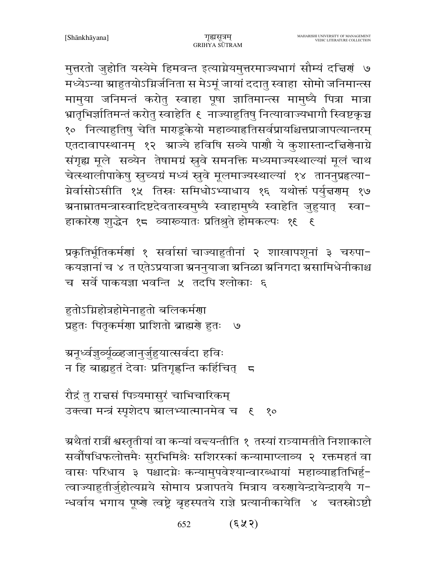मुत्तरतो जुहोति यस्येमे हिमवन्त इत्याग्नेयमुत्तरमाज्यभागं सौम्यं दचिरणं ७ मध्येऽन्या स्राहुतयोऽग्निर्जनिता स मेऽमूं जायां ददातु स्वाहा सोमो जनिमान्त्स मामुया जनिमन्तं करोतु स्वाहा पूषा ज्ञातिमान्त्स मामुष्यै पित्रा मात्रा भ्रातृभिर्ज्ञातिमन्तं करोतु स्वाहेति ६ नाज्याहुतिषु नित्यावाज्यभागौ स्विष्टकृच्च १० नित्याहुतिषु चेति माराडूकेयो महाव्याहृतिसर्वप्रायश्चित्तप्राजापत्यान्तरम् एतदावापस्थानम् १२ म्राज्ये हविषि सव्ये पार्शो ये कुशास्तान्दचिर्णेनाग्रे संगृह्य मूले सव्येन तेषामग्रं स्रुवे समनक्ति मध्यमाज्यस्थाल्यां मूलं चाथ चेत्स्थालीपाकेषु स्नुच्यग्रं मध्यं स्नुवे मूलमाज्यस्थाल्यां १४ ताननुप्रहत्या-ग्नेर्वासोऽसीति १५ तिस्नः समिधोऽभ्याधाय १६ यथोक्तं पर्युन्नगम् १७ ग्रनाम्नातमन्त्रास्वादिष्टदेवतास्वमुष्यै स्वाहामुष्यै स्वाहेति जुहुयात् स्वा− हाकारेण शुद्धेन १८ व्याख्यातः प्रतिश्रुते होमकल्पः १९ ६

प्रकृतिर्भूतिकर्मणां १ सर्वासां चाज्याहुतीनां २ शाखापशूनां ३ चरुपा-कयज्ञानां च ४ त एतेऽप्रयाजा स्रननुयाजा स्रनिळा स्रनिगदा स्रसामिधेनीकाश्च च सर्वे पाकयज्ञा भवन्ति ५ तदपि श्लोकाः ६

हुतोऽग्निहोत्रहोमेनाहुतो बलिकर्मणा प्रहुतः पितृकर्मणा प्राशितो ब्राह्मणे हुतः  $\mathcal{O}$ 

ग्रनूर्ध्वज्ञुव्यूंळ्हजानुर्जुहुयात्सर्वदा हविः न हि बाह्यहुतं देवाः प्रतिगृह्णन्ति कर्हिचित् ज

रौद्रं तु रान्नसं पित्र्यमासुरं चाभिचारिकम् उक्त्वा मन्त्रं स्पृशेदप ग्रालभ्यात्मानमेव च १ १०

ग्र्रथैतां रात्रीं श्वस्तृतीयां वा कन्यां वन्त्यन्तीति १ तस्यां रात्र्यामतीते निशाकाले सर्वौषधिफलोत्तमैः सुरभिमिश्रैः सशिरस्कां कन्यामाप्लाव्य २ रक्तमहतं वा वासः परिधाय ३ पश्चादग्नेः कन्यामुपवेश्यान्वारब्धायां महाव्याहृतिभिर्हु-त्वाज्याहुतीर्जुहोत्यग्नये सोमाय प्रजापतये मित्राय वरुणायेन्द्रायेन्द्रारायै ग-न्धर्वाय भगाय पूष्णे त्वष्ट्रे बृहस्पतये राज्ञे प्रत्यानीकायेति ४ चतस्रोऽष्टौ

> $(\xi \times \zeta)$ 652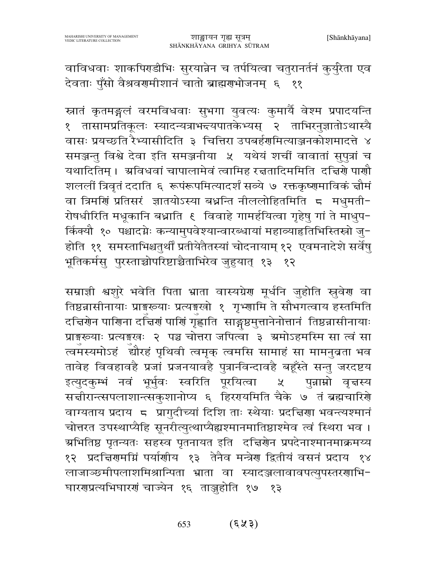वाविधवाः शाकपिराडीभिः सुरयान्नेन च तर्पयित्वा चतुरानर्तनं कुर्युरेता एव देवताः पुँसो वैश्रवरामीशानं चातो ब्राह्मराभोजनम् ६ ११

स्नातं कृतमङ्गलं वरमविधवाः सुभगा युवत्यः कुमार्यै वेश्म प्रपादयन्ति १ तासामप्रतिकूलः स्यादन्यत्राभ<del>द</del>यपातकेभ्यस् २ ताभिरनुज्ञातोऽथास्यै वासः प्रयच्छति रैभ्यासीदिति ३ चित्तिरा उपबर्हर्णामत्याञ्जनकोशमादत्ते ४ समञ्जन्तु विश्वे देवा इति समञ्जनीया ५ यथेयं शचीं वावातां सुपुत्रां च यथादितिम् । अविधवां चापालामेवं त्वामिह रच्चतादिममिति दच्चिणे पाणौ शललीं त्रिवृतं ददाति ६ रूपंरूपमित्यादर्शं सव्ये ७ रक्तकृष्णमाविकं चौमं वा त्रिमणिं प्रतिसरं ज्ञातयोऽस्या बध्नन्ति नीललोहितमिति ८ मधुमती-रोषधीरिति मधूकानि बध्नाति ६ विवाहे गामर्हयित्वा गृहेषु गां ते माधुप− र्किक्यौ १० पश्चादग्नेः कन्यामुपवेश्यान्वारब्धायां महाव्याहृतिभिस्तिस्रो जु-होति ११ समस्ताभिश्चतुर्थीं प्रतीयेतैतस्यां चोदनायाम् १२ एवमनादेशे सर्वेषु भूतिकर्मस् पुरस्ताच्चोपरिष्टाच्चैताभिरेव जुहुयात् १३ १२

सम्राज्ञी श्वशुरे भवेति पिता भ्राता वास्यग्रेण मूर्धनि जुहोति स्तुवेण वा तिष्ठन्नासीनायाः प्राङ्गस्व्याः प्रत्यङ्गखो १ गृभ्णामि ते सौभगत्वाय हस्तमिति दचिरणेन पाणिना दचिरणं पाणिं गृह्णाति साङ्गष्ठमुत्तानेनोत्तानं तिष्ठव्रासीनायाः प्राइख्याः प्रत्यइखः २ पञ्च चोत्तरा जपित्वा ३ ग्रमोऽहमस्मि सा त्वं सा त्वमस्यमोऽहं द्यौरहं पृथिवी त्वमृक् त्वमसि सामाहं सा मामनुव्रता भव तावेह विवहावहै प्रजां प्रजनयावहै पुत्रानविन्दावहै बहूँस्ते सन्तु जरदष्टय इत्युदकूम्भं नवं भूर्भुवः स्वरिति पूरयित्वा ५ पुन्नाम्नो वृत्तस्य सत्तीरान्त्सपलाशान्त्सकुशानोप्य ६ हिररयमिति चैके ७ तं ब्रह्मचारिशे वाग्यताय प्रदाय ८ प्रागुदीच्यां दिशि ताः स्थेयाः प्रदत्तिणा भवन्त्यश्मानं चोत्तरत उपस्थाप्यैहि सूनरीत्युत्थाप्यैह्यश्मानमातिष्ठाश्मेव त्वं स्थिरा भव । ग्रभितिष्ठ पृतन्यतः सहस्व पृतनायत इति दच्चिणेन प्रपदेनाश्मानमाक्रमय्य १२ प्रदच्चिरामम्निं पर्याणीय १३ तेनैव मन्त्रेरा द्वितीयं वसनं प्रदाय १४ लाजाञ्छमीपलाशमिश्रान्पिता भ्राता वा स्यादञ्जलावावपत्युपस्तरणाभि-घारणप्रत्यभिघारणं चाज्येन १६ ताञ्जुहोति १७ १३

> $($ 5) (5) 653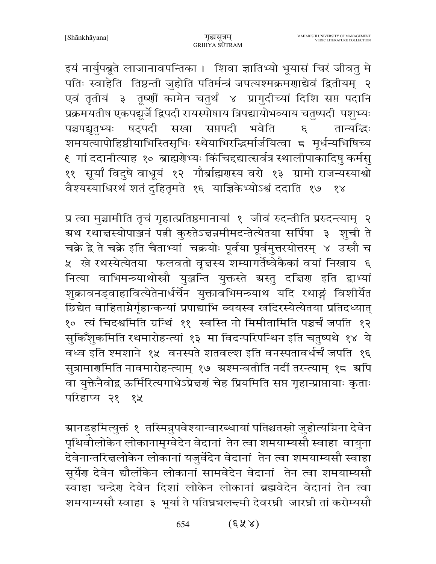इयं नार्युपब्रूते लाजानावपन्तिका । शिवा ज्ञातिभ्यो भूयासं चिरं जीवतु मे पतिः स्वाहेति तिष्ठन्ती जुहोति पतिर्मन्त्रं जपत्यश्मक्रमणाद्येवं द्वितीयम् २ एवं तृतीयं ३ तूष्णीं कामेन चतुर्थं ४ प्रागुदीच्यां दिशि सप्त पदानि प्रक्रमयतीष एकपद्यूर्जे द्विपदी रायस्पोषाय त्रिपद्यायोभव्याय चतुष्पदी पशुभ्यः पञ्चपद्यृतुभ्यः षट्पदी सखा सप्तपदी भवेति तान्यद्धिः  $\mathcal{E}$ शमयत्यापोहिष्ठीयाभिस्तिसृभिः स्थेयाभिरद्धिर्मार्जयित्वा ८ मूर्धन्यभिषिच्य ६) गां ददानीत्याह) १०) ब्राह्मग्रेभ्यः किंचिद्दद्यात्सर्वत्र स्थालीपाकादिषु कर्मसु ११ सूर्यां विदुषे वाधूयं १२ गौर्ब्राह्मणस्य वरो १३ ग्रामो राजन्यस्याश्वो वैश्यस्याधिरथं शतं द्हितृमते १६ याज्ञिकेभ्योऽश्वं ददाति १७ १४

प्र त्वा मुञ्चामीति तृचं गृहात्प्रतिष्ठमानायां १ जीवं रुदन्तीति प्ररुदन्त्याम् २ ग्रथ रथाचस्योपाञ्जनं पत्नी कुरुतेऽचन्नमीमदन्तेत्येतया सर्पिषा ३ शुची ते चक्रे द्वे ते चक्रे इति चैताभ्यां चक्रयोः पूर्वया पूर्वमुत्तरयोत्तरम् ४ उस्रौ च ५ खे रथस्येत्येतया फलवतो वृत्तस्य शम्यागर्तेष्वेकैकां वयां निखाय ६ नित्या वाभिमन्त्र्याथोस्रौ युञ्जन्ति युक्तस्ते ग्रस्तु दत्तिण इति द्वाभ्यां शुक्रावनड्वाहावित्येतेनार्धर्चेन युक्तावभिमन्त्र्याथ यदि रथाङ्गं विशीर्येत छिद्येत वाहिताग्नेर्गृहान्कन्यां प्रपाद्याभि व्ययस्व खदिरस्येत्येतया प्रतिदध्यात् १०) त्यं चिदश्वमिति ग्रन्थिं ११) स्वस्ति नो मिमीतामिति पञ्चर्चं जपति १२ सुकिँशुकमिति रथमारोहन्त्यां १३ मा विदन्परिपन्थिन इति चतुष्पथे १४ ये वध्व इति श्मशाने १५ वनस्पते शतवल्श इति वनस्पतावर्धर्चं जपति १६ सुत्रामार्गमिति नावमारोहन्त्याम् १७ ग्रश्मन्वतीति नदीं तरन्त्याम् १८ ग्रपि वा युक्तेनैवोद्व ऊर्मिरित्यगाधेऽप्रेन्नर्गं चेह प्रियमिति सप्त गृहान्प्राप्तायाः कृताः परिहाप्य २१ १५

ग्रानडहमित्युक्तं १ तस्मिन्नुपवेश्यान्वारब्धायां पतिश्चतस्रो जुहोत्यग्निना देवेन पृथिवीलोकेन लोकानामृग्वेदेन वेदानां तेन त्वा शमयाम्यसौ स्वाहा वायुना देवेनान्तरित्तलोकेन लोकानां यजुर्वेदेन वेदानां तेन त्वा शमयाम्यसौ स्वाहा सूर्येण देवेन द्यौलोंकेन लोकानां सामवेदेन वेदानां तेन त्वा शमयाम्यसौ स्वाहा चन्द्रेण देवेन दिशां लोकेन लोकानां ब्रह्मवेदेन वेदानां तेन त्वा शमयाम्यसौ स्वाहा ३ भूर्या ते पतिघ्नचलन्दमी देवरघ्नी जारघ्नी तां करोम्यसौ

> $(\xi \times \lambda)$ 654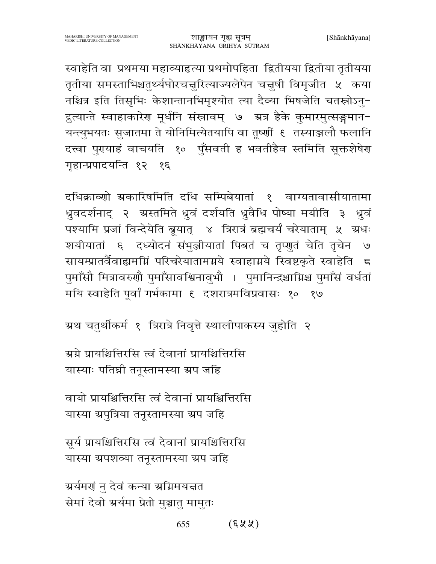स्वाहेति वा प्रथमया महाव्याहृत्या प्रथमोपहिता द्वितीयया द्वितीया तृतीयया तृतीया समस्ताभिश्चतुर्थ्यघोरचनुरित्याज्यलेपेन चनुषी विमृजीत ५ कया नश्चित्र इति तिसृभिः केशान्तानभिमृश्योत त्या दैव्या भिषजेति चतस्रोऽनु-द्रुत्यान्ते स्वाहाकारेण मूर्धनि संस्नावम् ७ - ग्रत्र हैके कुमारमुत्सङ्गमान-यन्त्युभयतः सुजातमा ते योनिमित्येतयापि वा तूष्णीं ६ तस्याञ्जलौ फलानि दत्त्वा पुरायाहं वाचयति १० पुँसवती ह भवतीहैव स्तमिति सूक्तशेषेरा गहान्प्रपादयन्ति १२ १६

दधिक्राव्णो ग्रकारिषमिति दधि सम्पिबेयातां १ वाग्यतावासीयातामा ध्रुवदर्शनाद् २ अस्तमिते ध्रुवं दर्शयति ध्रुवैधि पोष्या मयीति ३ ध्रवं पश्यामि प्रजां विन्देयेति ब्रूयात् ४ त्रिरात्रं ब्रह्मचर्यं चरेयाताम् ५ ग्रधः शयीयातां ६ दध्योदनं संभुञ्जीयातां पिबतं च तृप्णुतं चेति तृचेन  $\mathcal{O}$ सायम्प्रातर्वैवाह्यमग्निं परिचरेयातामग्नये स्वाहाग्नये स्विष्टकृते स्वाहेति 5 पुमाँसौ मित्रावरुणौ पुमाँसावश्विनावुभौ । पुमानिन्द्रश्चाग्निश्च पुमाँसं वर्धतां मयि स्वाहेति पूर्वां गर्भकामा ६ दशरात्रमविप्रवासः १० १७

ग्रथ चतुर्थीकर्म १ त्रिरात्रे निवृत्ते स्थालीपाकस्य जुहोति २

ग्रुग्ने प्रायश्चित्तिरसि त्वं देवानां प्रायश्चित्तिरसि यास्याः पतिघ्री तनूस्तामस्या ग्रप जहि

वायो प्रायश्चित्तिरसि त्वं देवानां प्रायश्चित्तिरसि यास्या ग्रपुत्रिया तनूस्तामस्या ग्रप जहि

सूर्य प्रायश्चित्तिरसि त्वं देवानां प्रायश्चित्तिरसि यास्या ग्रपशव्या तनूस्तामस्या ग्रप जहि

अर्यमणं नु देवं कन्या अग्निमयत्तत सेमां देवो अर्यमा प्रेतो मुञ्चातु मामुतः

> $(58)$ 655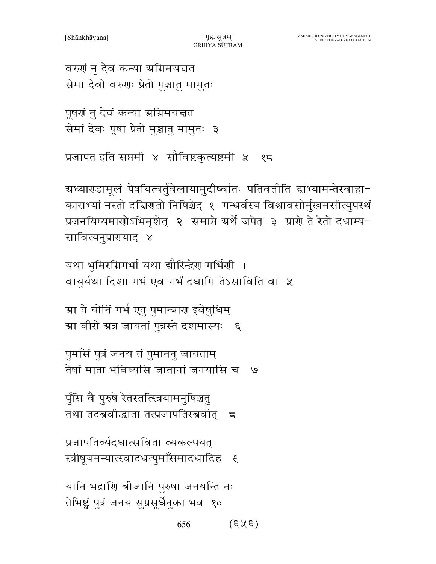$(\xi \hat{\chi} \xi)$ 656

यानि भद्राणि बीजानि पुरुषा जनयन्ति नः तेभिष्ट्वं पुत्रं जनय सुप्रसूर्धेनुका भव १०

प्रजापतिर्व्यदधात्सविता व्यकल्पयत स्त्रीषयमन्यात्स्वादधत्पुमाँसमादधादिह  $\overline{\mathcal{E}}$ 

पुॅसि वै पुरुषे रेतस्तत्स्त्रियामनुषिञ्चतु तथा तदब्रवीद्धाता तत्प्रजापतिरब्रवीत् <del>८</del>

पुमाँसं पुत्रं जनय तं पुमाननु जायताम् तेषां माता भविष्यसि जातानां जनयासि च ७

ग्रा वीरो ग्रत्र जायतां पुत्रस्ते दशमास्यः ६

यथा भूमिरग्निगर्भा यथा द्यौरिन्द्रेण गर्भिणी ।

वायुर्यथा दिशां गर्भ एवं गर्भं दधामि तेऽसाविति वा ५ ग्रा ते योनिं गर्भ एत् पुमान्बाण इवेषुधिम्

ग्रध्याराडामूलं पेषयित्वर्तुवेलायामुदीष्वातः पतिवतीति द्वाभ्यामन्तेस्वाहा− काराभ्यां नस्तो दत्तिगतो निषिञ्चेद् १ गन्धर्वस्य विश्वावसोर्मुखमसीत्युपस्थं प्रजनयिष्यमाणोऽभिमृशेत् २ समाप्ते ग्रर्थे जपेत् ३ प्राणे ते रेतो दधाम्य-सावित्यनुप्रारायाद् ४

```
प्रजापत इति सप्तमी ४ सौविष्टकृत्यष्टमी ५ १८
```

```
वरुणं नु देवं कन्या ग्रग्निमयत्तत
सेमां देवो वरुणः प्रेतो मुञ्चातु मामुतः
```
सेमां देवः पूषा प्रेतो मुञ्चातु मामुतः ३

पृषणं न् देवं कन्या भ्रमिमयत्तत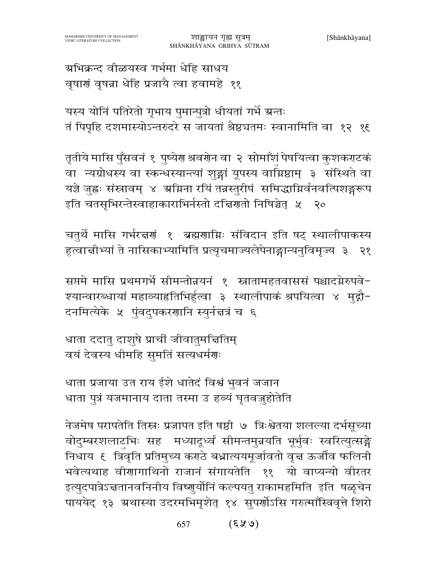ग्रभिक्रन्द वीळयस्व गर्भमा धेहि साधय वृषाणं वृषन्ना धेहि प्रजायै त्वा हवामहे ११

यस्य योनिं पतिरेतो गृभाय पुमान्पुत्रो धीयतां गर्भे ग्रन्तः तं पिपृहि दशमास्योऽन्तरुदरे स जायतां श्रेष्ठचतमः स्वानामिति वा १२ १६

तृतीये मासि पुँसवनं १ पुष्येर श्रवरोन वा २ सोमाँशं पेषयित्वा कुशकराटकं वा न्यग्रोधस्य वा स्कन्धस्यान्त्यां शुङ्गां यूपस्य वाग्निष्ठाम् ३ संस्थिते वा यज्ञे जुह्वः संस्नावम् ४ अग्निना रयिं तन्नस्तुरीपं समिद्धाग्निर्वनवत्पिशङ्गरूप इति चतसृभिरन्तेस्वाहाकाराभिर्नस्तो दच्चिणतो निषिञ्चेत् ५ २०

चतुर्थे मासि गर्भरत्नणं १ ब्रह्मणाग्निः संविदान इति षट् स्थालीपाकस्य हुत्वाचीभ्यां ते नासिकाभ्यामिति प्रत्यृचमाज्यलेपेनाङ्गान्यनुविमृज्य ३ २१

सप्तमे मासि प्रथमगर्भे सीमन्तोन्नयनं १ स्त्रातामहतवाससं पश्चादग्नेरुपवे-श्यान्वारब्धायां महाव्याहृतिभिर्हुत्वा ३ स्थालीपाकं श्रपयित्वा ४ मुद्गौ-दनमित्येके ५ पुंवदुपकरणानि स्युर्नज्ञत्रं च ६

धाता ददातु दाशुषे प्राचीं जीवातुमत्तितिम् वयं देवस्य धीमहि सुमतिं सत्यधर्मणः

धाता प्रजाया उत राय ईशे धातेदं विश्वं भुवनं जजान धाता पुत्रं यजमानाय दाता तस्मा उ हव्यं घृतवजुहोतेति

नेजमेष परापतेति तिस्नः प्रजापत इति षष्ठी ७ त्रिःश्वेतया शलल्या दर्भसूच्या वोदुम्बरशलाटभिः सह मध्यादूर्ध्वं सीमन्तमुन्नयति भूर्भुवः स्वरित्युत्सङ्गे निधाय ६ त्रिवृति प्रतिमुच्य कराठे बधात्ययमूर्जावतो वृत्त ऊर्जीव फलिनी भवेत्यथाह वीणागाथिनो राजानं संगायतेति ११ यो वाप्यन्यो वीरतर इत्युदपात्रेऽन्नतानवनिनीय विष्णुर्योनिं कल्पयतु राकामहमिति इति षळृचेन पाययेद् १३ अथास्या उदरमभिमृशेत् १४ सुपर्णोऽसि गरुत्माॅस्त्रिवृत्ते शिरो

> $(689)$ 657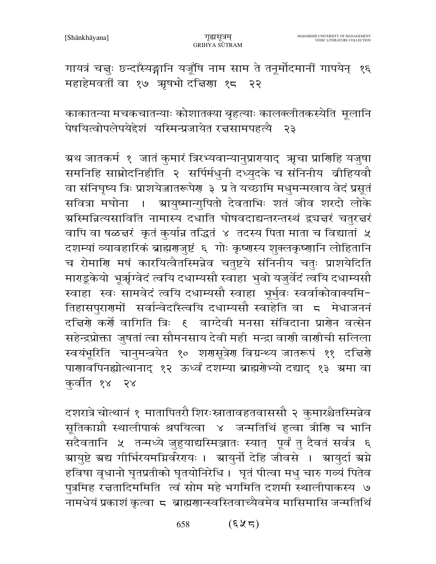गायत्रं चत्तुः छन्दाँस्यङ्गानि यजूँषि नाम साम ते तनूर्मोदमानीं गापयेन् १६ महाहेमवतीं वा १७ ऋषभो दत्तिणा १८ २२

काकातन्या मचकचातन्याः कोशातक्या बृहत्याः कालक्लीतकस्येति मूलानि पेषयित्वोपलेपयेद्देशं यस्मिन्प्रजायेत रत्तसामपहत्यै २३

ग्रथ जातकर्म १ जातं कुमारं त्रिरभ्यवान्यानुप्रारयाद् ऋचा प्राणिहि यजुषा समनिहि साम्नोदनिहीति २ सर्पिर्मधुनी दध्युदके च संनिनीय व्रीहियवौ वा संनिघृष्य त्रिः प्राशयेजातरूपेण ३ प्र ते यच्छामि मधुमन्मखाय वेदं प्रसूतं सवित्रा मघोना । स्रायुष्मान्गुपितो देवताभिः शतं जीव शरदो लोके ग्रस्मिन्नित्यसाविति नामास्य दधाति घोषवदाद्यन्तरन्तस्थं द्व्यज्ञरं चतुरज्ञरं वापि वा षळचरं कृतं कुर्यान्न तद्धितं ४ तदस्य पिता माता च विद्यातां ५ दशम्यां व्यावहारिकं ब्राह्मराजुष्टं ६ गोः कृष्णस्य शुक्लकृष्णानि लोहितानि च रोमाणि मषं कारयित्वैतस्मिन्नेव चतुष्टये संनिनीय चतुः प्राशयेदिति माराडूकेयो भूर्त्राग्वेदं त्वयि दधाम्यसौ स्वाहा भुवो यजुर्वेदं त्वयि दधाम्यसौ स्वाहा स्वः सामवेदं त्वयि दधाम्यसौ स्वाहा भूर्भुवः स्वर्वाकोवाक्यमि-तिहासपुराणमों सर्वान्वेदाँस्त्वयि दधाम्यसौ स्वाहेति वा 5 मेधाजननं दच्चिणे कर्णे वागिति त्रिः ६ वाग्देवी मनसा संविदाना प्राणेन वत्सेन सहेन्द्रप्रोक्ता जुषतां त्वा सौमनसाय देवी मही मन्द्रा वाणी वाणीची सलिला स्वयंभूरिति चानुमन्त्रयेत १० शणसूत्रेण विग्रन्थ्य जातरूपं ११ दत्तिरो पाणावपिनह्योत्थानाद १२ ऊर्ध्वं दशम्या ब्राह्मरोभ्यो दद्याद १३ अमा वा कुर्वीत १४ २४

दशरात्रे चोत्थानं १ मातापितरौ शिरःस्नातावहतवाससौ २ कुमारश्चैतस्मिन्नेव सूतिकाग्नौ स्थालीपाकं श्रपयित्वा ४ जन्मतिथिं हुत्वा त्रीणि च भानि सदैवतानि ५ तन्मध्ये जुहुयाद्यस्मिञ्जातः स्यात् पूर्वं तु दैवतं सर्वत्र ६ ग्रायुष्टे ग्रद्य गीर्भिरयमग्निर्वरेगयः । ग्रायुर्नो देहि जीवसे । ग्रायुर्दा ग्रग्ने हविषा वृधानो घृतप्रतीको घृतयोनिरेधि । घृतं पीत्वा मधु चारु गव्यं पितेव पुत्रमिह रच्चतादिममिति त्वं सोम महे भगमिति दशमी स्थालीपाकस्य ७ नामधेयं प्रकाशं कृत्वा 5 ब्राह्मणान्स्वस्तिवाच्यैवमेव मासिमासि जन्मतिथिं

> (६५८) 658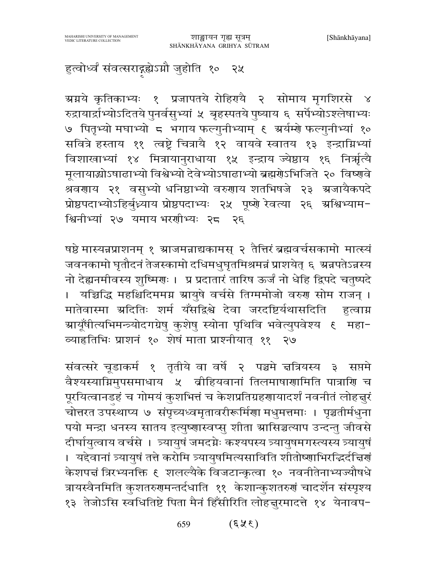हुत्वोर्ध्वं संवत्सराद्ग्रह्येऽग्नौ जुहोति १० २५

ग्र्याये कृतिकाभ्यः १ प्रजापतये रोहिरायै २ सोमाय मृगशिरसे ४ रुद्रायार्द्राभ्योऽदितये पुनर्वसुभ्यां ५ बृहस्पतये पुष्याय ६ सर्पेभ्योऽश्लेषाभ्यः ७ पितृभ्यो मघाभ्यो ८ भगाय फल्गुनीभ्याम् ६ अर्यम्शे फल्गुनीभ्यां १० सवित्रे हस्ताय ११ त्वष्टे चित्रायै १२ वायवे स्वातय १३ इन्द्राग्निभ्यां विशाखाभ्यां १४ मित्रायानुराधाया १५ इन्द्राय ज्येष्ठाय १६ निर्त्राृत्यै मूलायाद्योऽषाढाभ्यो विश्वेभ्यो देवेभ्योऽषाढाभ्यो ब्रह्मग्रेऽभिजिते २० विष्णवे श्रवणाय २१ वसुभ्यो धनिष्ठाभ्यो वरुणाय शतभिषजे २३ ग्रजायैकपदे प्रोष्ठपदाभ्योऽहिर्बुध्न्याय प्रोष्ठपदाभ्यः २५ पूष्णे रेवत्या २६ अश्विभ्याम-श्विनीभ्यां २७ यमाय भरशीभ्यः २८ २६

षष्ठे मास्यन्नप्राशनम् १ स्राजमन्नाद्यकामस् २ तैत्तिरं ब्रह्मवर्चसकामो मात्स्यं जवनकामो घृतौदनं तेजस्कामो दधिमधुघृतमिश्रमन्नं प्राशयेत् ६ अन्नपतेऽन्नस्य नो देह्यनमीवस्य शुष्मिणः । प्र प्रदातारं तारिष ऊर्जं नो धेहि द्विपदे चतुष्पदे । यज्चिद्धि महश्चिदिममग्न स्रायुषे वर्चसे तिग्ममोजो वरुण सोम राजन् । मातेवास्मा ग्रदितिः शर्म यँसद्विश्वे देवा जरदष्टिर्यथासदिति हुत्वाग्न ग्रायूँषीत्यभिमन्त्र्योदगग्रेषु कुशेषु स्योना पृथिवि भवेत्युपवेश्य १ महा-व्याहृतिभिः प्राशनं १० शेषं माता प्राश्नीयात् ११ २७

संवत्सरे चूडाकर्म १ तृतीये वा वर्षे २ पञ्चमे चत्रियस्य ३ सप्तमे वैश्यस्याग्निमुपसमाधाय ५ बीहियवानां तिलमाषाणामिति पात्राणि च पूरयित्वानडहं च गोमयं कुशभित्तं च केशप्रतिग्रहणायादर्शं नवनीतं लोहत्तूरं चोत्तरत उपस्थाप्य ७ संपृच्यध्वमृतावरीरूर्मिणा मधुमत्तमाः । पृञ्चतीर्मधुना पयो मन्द्रा धनस्य सातय इत्युष्णास्वप्सु शीता म्रासिञ्चत्याप उन्दन्तु जीवसे दीर्घायुत्वाय वर्चसे । त्र्यायुषं जमदग्नेः कश्यपस्य त्र्यायुषमगस्त्यस्य त्र्यायुषं । यद्देवानां त्र्यायुषं तत्ते करोमि त्र्यायुषमित्यसाविति शीतोष्णाभिरद्धिर्दचिगं केशपत्तं त्रिरभ्यनक्ति ६ शलल्यैके विजटान्कृत्वा १० नवनीतेनाभ्यज्यौषधे त्रायस्वैनमिति कुशतरुगमन्तर्दधाति ११ केशान्कुशतरुगं चादर्शेन संस्पृश्य १३ तेजोऽसि स्वधितिष्टे पिता मैनं हिँसीरिति लोहत्तूरमादत्ते १४ येनावप-

> $(3 \cancel{8} 3)$ 659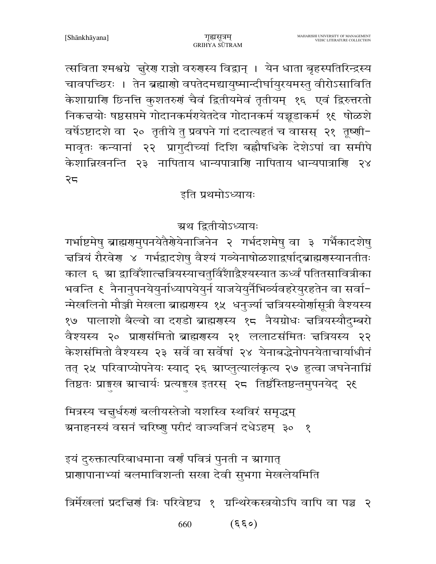$(659)$ 660

त्रिर्मेखलां प्रदत्तिरां त्रिः परिवेष्ट्य १ ग्रन्थिरेकस्त्रयोऽपि वापि वा पञ्च २

इयं दुरुक्तात्परिबाधमाना वर्णं पवित्रं पुनती न स्रागात् प्राणापानाभ्यां बलमाविशन्ती सखा देवी सुभगा मेखलेयमिति

मित्रस्य चतुर्धरुणं बलीयस्तेजो यशस्वि स्थविरं समृद्धम् ग्रनाहनस्यं वसनं चरिष्णु परीदं वाज्यजिनं दधेऽहम् ३० १

ग्रथ द्वितीयोऽध्यायः गर्भाष्टमेषु ब्राह्मरामुपनयेतैरोयेनाजिनेन २ गर्भदशमेषु वा ३ गर्भैकादशेषु चत्रियं रौरवेर ४ गर्भद्रादशेषु वैश्यं गव्येनाषोळशाद्वर्षाद्ब्राह्मरास्यानतीतः काल ६ म्रा द्वाविँशात्त्वत्रियस्याचतुर्विंशाद्वैश्यस्यात ऊर्ध्वं पतितसावित्रीका न्मेखलिनो मौञ्जी मेखला ब्राह्मणस्य १५ धनुज्या त्तत्रियस्योर्णासूत्री वैश्यस्य १७ पालाशो बैल्वो वा दराडो ब्राह्मरास्य १८ नैयग्रोधः त्तत्रियस्यौदुम्बरो वैश्यस्य २० प्राणसंमितो ब्राह्मणस्य २१ ललाटसंमितः चत्रियस्य २२ केशसंमितो वैश्यस्य २३ सर्वे वा सर्वेषां २४ येनाबद्धेनोपनयेताचार्याधीनं तत् २५ परिवाप्योपनेयः स्याद् २६ ग्राप्लुत्यालंकृत्य २७ हुत्वा जघनेनाग्निं तिष्ठतः प्राङ्गख स्राचार्यः प्रत्यङ्गख इतरस् २८ तिष्ठंस्तिष्ठन्तमुपनयेद् २६

### इति प्रथमोऽध्यायः

त्सविता श्मश्वग्रे ज़ुरेण राज्ञो वरुणस्य विद्वान् । येन धाता बृहस्पतिरिन्द्रस्य चावपच्छिरः । तेन ब्रह्माणो वपतेदमद्यायुष्मान्दीर्घायुरयमस्तु वीरोऽसाविति केशाग्राणि छिनत्ति कुशतरुणं चैवं द्वितीयमेवं तृतीयम् १६ एवं द्विरुत्तरतो निकत्तयोः षष्ठसप्तमे गोदानकर्मरायेतदेव गोदानकर्म यच्चडाकर्म १९ षोळशे वर्षेऽष्टादशे वा २० तृतीये तु प्रवपने गां ददात्यहतं च वासस् २१ तृष्णी-मावृतः कन्यानां २२ प्रागुदीच्यां दिशि बह्वौषधिके देशेऽपां वा समीपे केशान्निखनन्ति २३ नापिताय धान्यपात्राणि नापिताय धान्यपात्राणि २४ २८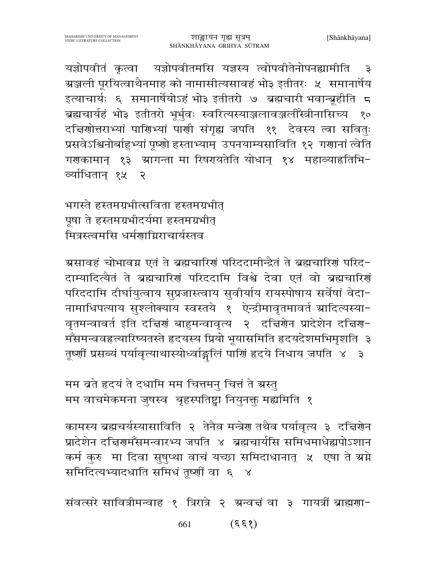यज्ञोपवीतं कृत्वा यज्ञोपवीतमसि यज्ञस्य त्वोपवीतेनोपनह्यामीति  $\overline{\mathbf{3}}$ ग्रञ्जली पूरयित्वाथैनमाह को नामासीत्यसावहं भो३ इतीतरः ५ समानार्षेय इत्याचार्यः ६ समानार्षेयोऽहं भो३ इतीतरो ७ ब्रह्मचारी भवान्ब्रूहीति ८ ब्रह्मचार्यहं भो३ इतीतरो भूर्भुवः स्वरित्यस्याञ्जलावञ्जलीँस्त्रीनासिच्य १० दचिणोत्तराभ्यां पाणिभ्यां पाणी संगृह्य जपति ११ देवस्य त्वा सवितुः प्रसवेऽश्विनोर्बाहुभ्यां पूष्णो हस्ताभ्याम् उपनयाम्यसाविति १२ गणानां त्वेति गराकामान् १३ स्रागन्ता मा रिषरपयतेति योधान् १४ महाव्याहृतिभि-र्व्याधितान १५  $\mathcal{S}$ 

भगस्ते हस्तमग्रभीत्सविता हस्तमग्रभीत् पूषा ते हस्तमग्रभीदर्यमा हस्तमग्रभीत् मित्रस्त्वमसि धर्मगाग्निराचार्यस्तव

ग्रसावहं चोभावग्न एतं ते ब्रह्मचारिणं परिददामीन्द्रैतं ते ब्रह्मचारिणं परिद-दाम्यादित्यैतं ते ब्रह्मचारिणं परिददामि विश्वे देवा एतं वो ब्रह्मचारिणं परिददामि दीर्घायुत्वाय सुप्रजास्त्वाय सुवीर्याय रायस्पोषाय सर्वेषां वेदा-नामाधिपत्याय सुश्लोक्याय स्वस्तये १ ऐन्द्रीमावृतमावर्त ग्रादित्यस्या-वृतमन्वावर्त इति दच्चिणं बाहुमन्वावृत्य २ दच्चिणेन प्रादेशेन दच्चिण-मँसमन्ववहृत्यारिष्यतस्ते हृदयस्य प्रियो भूयासमिति हृदयदेशमभिमृशति ३ तूर्ष्णीं प्रसव्यं पर्यावृत्याथास्योध्वांङ्गलिं पार्णि हृदये निधाय जपति ४ ३

मम ब्रते हृदयं ते दधामि मम चित्तमन् चित्तं ते ग्रस्तु मम वाचमेकमना जुषस्व बृहस्पतिष्ट्रा नियुनक्त मह्यमिति १

कामस्य ब्रह्मचर्यस्यासाविति २ तेनैव मन्त्रेण तथैव पर्यावृत्य ३ दत्तिरोन प्रादेशेन दत्तिरामँसमन्वारभ्य जपति ४ ब्रह्मचार्यास समिधमाधेह्यपोऽशान कर्म कुरु मा दिवा सुषुप्था वाचं यच्छा समिदाधानात् ५ एषा ते ग्रग्ने समिदित्यभ्यादधाति समिधं तूष्णीं वा ६ ४

संवत्सरे सावित्रीमन्वाह १ त्रिरात्रे २ ग्रन्वत्तं वा ३ गायत्रीं ब्राह्मणा-

 $(\xi \xi \zeta)$ 661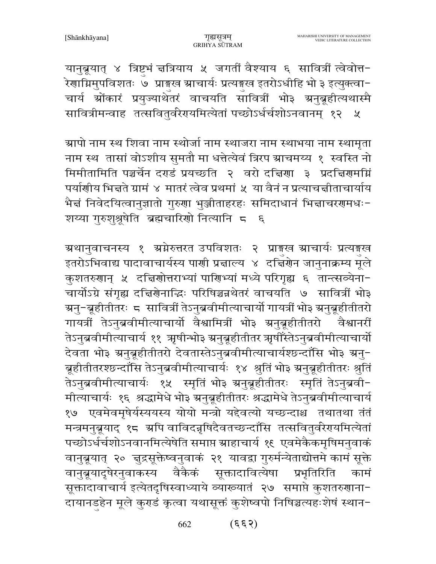यानुब्रूयात् ४ त्रिष्टभं चत्रियाय ५ जगतीं वैश्याय ६ सावित्रीं त्वेवोत्त-रेणाग्निमुपविशतः ७ प्राङ्गस्व स्राचार्यः प्रत्यङ्ख इतरोऽधीहि भो ३ इत्युक्त्वा-चार्य ग्रोंकारं प्रयुज्याथेतरं वाचयति सावित्रीं भो३ ग्रनुब्रूहीत्यथास्मै सावित्रीमन्वाह तत्सवितुर्वरेरायमित्येतां पच्छोऽर्धर्चशोऽनवानम् १२ ५

ग्र्यापो नाम स्थ शिवा नाम स्थोर्जा नाम स्थाजरा नाम स्थाभया नाम स्थामृता नाम स्थ तासां वोऽशीय सुमतौ मा धत्तेत्येवं त्रिरप ग्राचमय्य १ स्वस्ति नो मिमीतामिति पञ्चर्चेन दराडं प्रयच्छति २ वरो दचिया ३ प्रदचियामग्नि पर्याणीय भिन्नते ग्रामं ४ मातरं त्वेव प्रथमां ५ या वैनं न प्रत्याचन्नीताचार्याय भैद्मं निवेदयित्वानुज्ञातो गुरुणा भुञ्जीताहरहः समिदाधानं भिद्माचरणमधः-शय्या गुरुशुश्रूषेति ब्रह्मचारिणो नित्यानि ८ ६

ग्रथानुवाचनस्य १ ग्रग्नेरुत्तरत उपविशतः २ प्राइख ग्राचार्यः प्रत्यइख इतरोऽभिवाद्य पादावाचार्यस्य पार्णा प्रज्ञाल्य ४ दच्चिंगेन जानुनाक्रम्य मूले कुशतरुणान् ५ दत्तिणोत्तराभ्यां पाणिभ्यां मध्ये परिगृह्य ६ तान्त्सव्येना-चार्योऽग्रे संगृह्य दच्चिणेनाद्धिः परिषिञ्चन्नथेतरं वाचयति ७ सावित्रीं भो३ ग्रनु−ब्रूहीतीतरः ८ सावित्रीं तेऽनुब्रवीमीत्याचार्यो गायत्रीं भो३ ग्रनुब्रूहीतीतरो गायत्रीं तेऽनुब्रवीमीत्याचार्यो वैश्वामित्रीं भो३ ग्रनुब्रूहीतीतरो वैश्वानरीं तेऽनुब्रवीमीत्याचार्य ११ ऋषीन्भो३ स्रनुब्रूहीतीतर ऋषीँस्तेऽनुब्रवीमीत्याचार्यो देवता भो३ ग्रनुब्रूहीतीतरो देवतास्तेऽनुब्रवीमीत्याचार्यश्छन्दाँसि भो३ ग्रनु-ब्रहीतीतरश्छन्दाँसि तेऽनुब्रवीमीत्याचार्यः १४ श्रुतिं भो३ ग्रनुब्रहीतीतरः श्रुतिं तेऽनुब्रवीमीत्याचार्यः १५ स्मृतिं भो३ ग्रनुब्रूहीतीतरः स्मृतिं तेऽनुब्रवी-मीत्याचार्यः १६ श्रद्धामेधे भो३ ग्रनुब्रूहीतीतरः श्रद्धामेधे तेऽनुब्रवीमीत्याचार्य १७ एवमेवमृषेर्यस्ययस्य योयो मन्त्रो यद्देवत्यो यच्छन्दाश्च तथातथा तंतं मन्त्रमनुब्रूयाद् १८ अपि वाविदन्नृषिदैवतच्छन्दाँसि तत्सवितुर्वरेरायमित्येतां पच्छोऽर्धर्चशोऽनवानमित्येषेति समाप्त स्राहाचार्य १९ एवमेकैकमृषिमनुवाकं वानुब्रूयात् २० चुद्रसूक्तेष्वनुवाकं २१ यावद्वा गुरुर्मन्येताद्योत्तमे कामं सूक्ते वानुब्रूयादृषेरनुवाकस्य वैकैकं सूक्तादावित्येषा प्रभृतिरिति कामं सूक्तादावाचार्य इत्येतदृषिस्वाध्याये व्याख्यातं २७ समाप्ते कुशतरुणाना-दायानडहेन मूले कुराडं कृत्वा यथासूक्तं कुशेष्वपो निषिञ्चत्यहःशेषं स्थान-

> $(\xi \xi \zeta)$ 662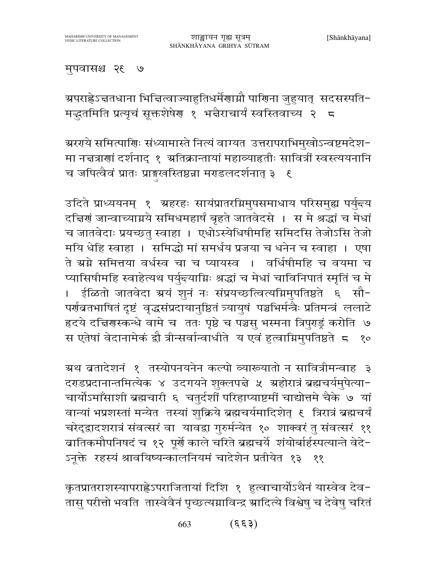#### मुपवासश्च २६ ७

ग्र्यराह्णेऽचतधाना भिचित्वाज्याहुतिधर्मेणाग्नौ पाणिना जुहुयात् सदसस्पति− मद्धतमिति प्रत्यृचं सूक्तशेषेण १ भद्मैराचार्यं स्वस्तिवाच्य २ 5

ग्ररग्ये समित्पाणिः संध्यामास्ते नित्यं वाग्यत उत्तरापराभिमुखोऽन्वष्टमदेश-मा नच्चत्राणां दर्शनाद् १ अतिक्रान्तायां महाव्याहतीः सावित्रीं स्वस्त्ययनानि च जपित्वैवं प्रातः प्राङ्गस्वस्तिष्ठन्ना मराडलदर्शनात् ३ ६

उदिते प्राध्ययनम् १ अहरहः सायंप्रातरग्निमुपसमाधाय परिसमुह्य पर्युन्त्य दचिर्ण जान्वाच्याग्नये समिधमहार्षं बृहते जातवेदसे । स मे श्रद्धां च मेधां च जातवेदाः प्रयच्छतु स्वाहा । एधोऽस्येधिषीमहि समिदसि तेजोऽसि तेजो मयि धेहि स्वाहा । समिद्धो मां समर्धय प्रजया च धनेन च स्वाहा । एषा ते ग्रग्ने समित्तया वर्धस्व चा च प्यायस्व । वर्धिषीमहि च वयमा च प्यासिषीमहि स्वाहेत्यथ पर्युन्त्याग्निः श्रद्धां च मेधां चाविनिपातं स्मृतिं च मे । ईळितो जातवेदा ग्रयं शूनं नः संप्रयच्छत्वित्यग्निमुपतिष्ठते ६ सौ-पर्णवतभाषितं दृष्टं वृद्धसंप्रदायानुष्ठितं त्र्यायुषं पञ्चभिर्मन्त्रैः प्रतिमन्त्रं ललाटे हृदये दत्तिगस्कन्धे वामे च ततः पृष्ठे च पञ्चसु भस्मना त्रिपुराडुं करोति ७ स एतेषां वेदानामेकं द्वौ त्रीन्सर्वान्वाधीते य एवं हुत्वाग्निमुपतिष्ठते ८ १०

ग्रथ ब्रतादेशनं १ तस्योपनयनेन कल्पो व्याख्यातो न सावित्रीमन्वाह ३ दराडप्रदानान्तमित्येक ४ उदगयने शुक्लपद्मे ५ ग्रहोरात्रं ब्रह्मचर्यमुपेत्या-चार्योऽमाँसाशी ब्रह्मचारी ६ चतुर्दशीं परिहाप्याष्टमीं चाद्योत्तमे चैके ७ यां वान्यां भप्रशस्तां मन्येत तस्यां शुक्रिये ब्रह्मचर्यमादिशेत् १ त्रिरात्रं ब्रह्मचर्यं चरेद्द्वादशरात्रं संवत्सरं वा यावद्वा गुरुर्मन्येत १० शाक्वरं तु संवत्सरं ११ बातिकमौपनिषदं च १२ पूर्णे काले चरिते ब्रह्मचर्ये शंयोर्बार्हस्पत्यान्ते वेदे-ऽनूक्ते रहस्यं श्रावयिष्यन्कालनियमं चादेशेन प्रतीयेत १३ ११

कृतप्रातराशस्यापराह्लेऽपराजितायां दिशि १ हुत्वाचार्योऽथैनं यास्वेव देव-तासु परीत्तो भवति तास्वेवैनं पृच्छत्यग्नाविन्द्र स्रादित्ये विश्वेषु च देवेषु चरितं

> $(\xi \xi)$ 663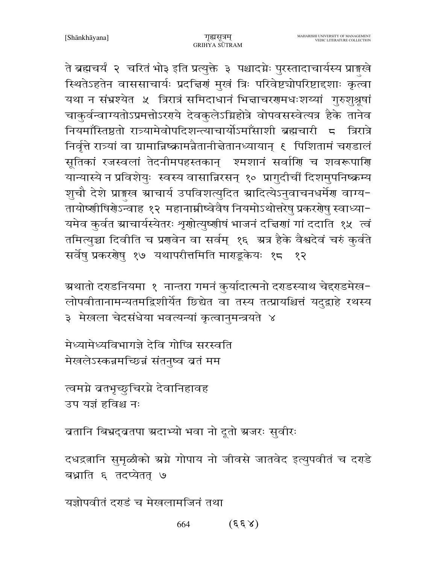ते ब्रह्मचर्यं २ चरितं भो३ इति प्रत्युक्ते ३ पश्चादग्नेः पुरस्तादाचार्यस्य प्राइखे स्थितेऽहतेन वाससाचार्यः प्रदच्चिणं मुखं त्रिः परिवेष्टचोपरिष्टादृशाः कृत्वा यथा न संभ्रश्येत ५ त्रिरात्रं समिदाधानं भिज्ञाचरणमधःशय्यां गुरुशुश्रूषां चाकुर्वन्वाग्यतोऽप्रमत्तोऽररये देवकुलेऽग्निहोत्रे वोपवसस्वेत्यत्र हैके तानेव नियमॉस्तिष्ठतो रात्र्यामेवोपदिशन्त्याचार्योऽमाँसाशी ब्रह्मचारी द त्रिरात्रे निर्वृत्ते रात्र्यां वा ग्रामान्निष्क्रामन्नैतानीत्तेतानध्यायान् ६ पिशितामं चराडालं सूतिकां रजस्वलां तेदनीमपहस्तकान् श्मशानं सर्वाणि च शवरूपाणि यान्यास्ये न प्रविशेयुः स्वस्य वासान्निरसन् १० प्रागुदीचीं दिशमुपनिष्क्रम्य शुचौ देशे प्राङ्गस स्राचार्य उपविशत्युदित स्रादित्येऽनुवाचनधर्मेण वाग्य-तायोष्णीषिर्गेऽन्वाह १२ महानाम्नीष्वेवैष नियमोऽथोत्तरेषु प्रकरर्गेषु स्वाध्या-यमेव कुर्वत स्राचार्यस्येतरः शृणोत्युष्णीषं भाजनं दचिणां गां ददाति १५ त्वं तमित्युच्चा दिवीति च प्रणवेन वा सर्वम् १६ अत्र हैके वैश्वदेवं चरुं कुर्वते सर्वेष् प्रकररोषु १७ यथापरीत्तमिति माराडूकेयः १८ १२

ग्रथातो दराडनियमा १ नान्तरा गमनं कुर्यादात्मनो दराडस्याथ चेद्दराडमेख-लोपवीतानामन्यतमद्विशीर्येत छिद्येत वा तस्य तत्प्रायश्चित्तं यदुद्वाहे रथस्य ३ मेखला चेदसंधेया भवत्यन्यां कृत्वानुमन्त्रयते ४

मेध्यामेध्यविभागजे देवि गोप्त्रि सरस्वति मेखलेऽस्कन्नमच्छिन्नं संतनुष्व ब्रतं मम

त्वमग्ने ब्रतभृच्छुचिरग्ने देवानिहावह उप यज्ञं हविश्च नः

ब्रतानि बिभ्रद्ब्रतपा ग्रदाभ्यो भवा नो दूतो ग्रजरः सुवीरः

दधद्रतानि सुमृळीको स्रग्ने गोपाय नो जीवसे जातवेद इत्युपवीतं च दरहे बध्नाति ६ तदप्येतत् ७

यज्ञोपवीतं दराडं च मेखलामजिनं तथा

 $(\xi \xi \lambda)$ 664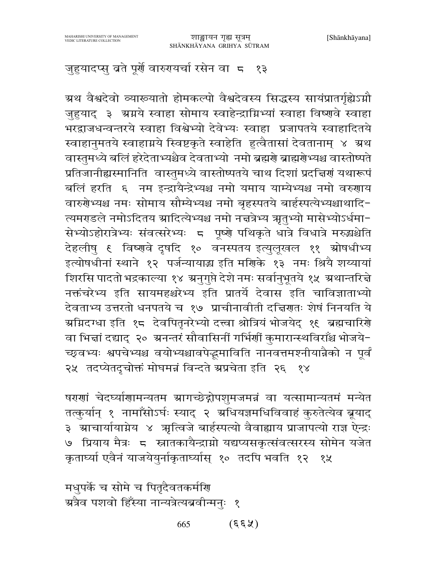## जुहुयादप्सु ब्रते पूर्णे वारुगयर्चा रसेन वाज्ञ १३

ग्रथ वैश्वदेवो व्याख्यातो होमकल्पो वैश्वदेवस्य सिद्धस्य सायंप्रातर्गृह्येऽग्नौ जुहुयाद ३ ग्रग्नये स्वाहा सोमाय स्वाहेन्द्राग्निभ्यां स्वाहा विष्णुवे स्वाहा भरद्वाजधन्वन्तरये स्वाहा विश्वेभ्यो देवेभ्यः स्वाहा प्रजापतये स्वाहादितये स्वाहानुमतये स्वाहाग्नये स्विष्टकृते स्वाहेति हुत्वैतासां देवतानाम् ४ ग्रथ वास्तुमध्ये बलिं हरेदेताभ्यश्चैव देवताभ्यो नमो ब्रह्मणे ब्राह्मणेभ्यश्च वास्तोष्पते प्रतिजानीह्यस्मानिति वास्तुमध्ये वास्तोष्पतये चाथ दिशां प्रदत्तिणं यथारूपं बलिं हरति ६ नम इन्द्रायैन्द्रेभ्यश्च नमो यमाय याम्येभ्यश्च नमो वरुणाय वारुगेभ्यश्च नमः सोमाय सौम्येभ्यश्च नमो बृहस्पतये बार्हस्पत्येभ्यश्चाथादि-त्यमराडले नमोऽदितय स्रादित्येभ्यश्च नमो नच्चत्रेभ्य ऋतुभ्यो मासेभ्योऽर्धमा-सेभ्योऽहोरात्रेभ्यः संवत्सरेभ्यः ८ पूष्णे पथिकृते धात्रे विधात्रे मरुद्धश्चेति देहलीषु ६ विष्णवे दृषदि १० वनस्पतय इत्युलूखल ११ स्रोषधीभ्य इत्योषधीनां स्थाने १२ पर्जन्यायाद्य इति मणिके १३ नमः श्रियै शय्यायां शिरसि पादतो भद्रकाल्या १४ अनुगुप्ते देशे नमः सर्वानुभूतये १५ अथान्तरित्ते नक्तंचरेभ्य इति सायमहश्चरेभ्य इति प्रातर्ये देवास इति चाविज्ञाताभ्यो देवताभ्य उत्तरतो धनपतये च १७ प्राचीनावीती दद्मिणतः शेषं निनयति ये ग्रग्निदग्धा इति १८ देवपितृनरेभ्यो दत्त्वा श्रोत्रियं भोजयेद् १९ ब्रह्मचारिणे वा भिन्नां दद्याद् २० अनन्तरं सौवासिनीं गर्भिर्णी कुमारान्स्थविराँश्च भोजये− च्छ्वभ्यः श्वपचेभ्यश्च वयोभ्यश्चावपेद्धमाविति नानवत्तमश्नीयान्नैको न पूर्वं २५ तदप्येतदुचोक्तं मोघमन्नं विन्दते स्रप्रचेता इति २६ १४

षरणां चेदर्घ्याणामन्यतम ग्रागच्छेद्गोपशुमजमन्नं वा यत्सामान्यतमं मन्येत तत्कुर्यान् १ नामाँसोऽर्घः स्याद् २ ग्रधियज्ञमधिविवाहं कुरुतेत्येव ब्रूयाद् ३ आचार्यायाग्नेय ४ अृत्विजे बार्हस्पत्यो वैवाह्याय प्राजापत्यो राज्ञ ऐन्द्रः ७ प्रियाय मैत्रः ८ स्नातकायैन्द्राम्रो यद्यप्यसकृत्संवत्सरस्य सोमेन यजेत कृतार्घ्या एवैनं याजयेयुर्नाकृतार्घ्यास् १० तदपि भवति १२ १५

मधुपर्के च सोमे च पितृदैवतकर्माण ग्रत्रैव पशवो हिँस्या नान्यत्रेत्यब्रवीन्मनुः १

> $(\xi \xi \chi)$ 665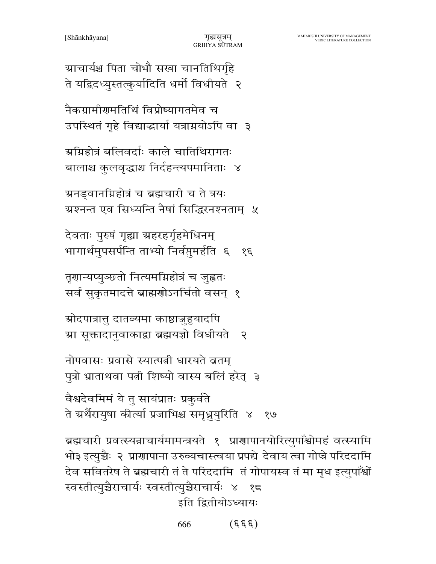ग्राचार्यश्च पिता चोभौ सखा चानतिथिर्गृहे ते यद्विदध्युस्तत्कुर्यादिति धर्मो विधीयते २

नैकग्रामीरामतिथिं विप्रोष्यागतमेव च उपस्थितं गृहे विद्याद्धार्या यत्राग्नयोऽपि वा ३

ग्रग्निहोत्रं बलिवर्दाः काले चातिथिरागतः बालाश्च कुलवृद्धाश्च निर्दहन्त्यपमानिताः ४

ग्रनड्वानग्निहोत्रं च ब्रह्मचारी च ते त्रयः ग्रश्नन्त एव सिध्यन्ति नैषां सिद्धिरनश्नताम्) ५

देवताः पुरुषं गृह्या ग्रहरहर्गृहमेधिनम् भागार्थमुपसर्पन्ति ताभ्यो निर्वप्तुमर्हति ६ १६

तृणान्यप्युञ्छतो नित्यमग्निहोत्रं च जुह्वतः सर्वं सुकृतमादत्ते ब्राह्मणोऽनर्चितो वसन् १

स्रोदपात्रात्तु दातव्यमा काष्ठाजुहुयादपि ग्रा सूक्तादानुवाकाद्रा ब्रह्मयज्ञो विधीयते २

नोपवासः प्रवासे स्यात्पत्नी धारयते व्रतम् पुत्रो भ्राताथवा पत्नी शिष्यो वास्य बलिं हरेत् ३

वैश्वदेवमिमं ये तु सायंप्रातः प्रकुर्वते ते ग्रर्थैरायुषा कीर्त्या प्रजाभिश्च समृध्नुयुरिति ४ १७

ब्रह्मचारी प्रवत्स्यन्नाचार्यमामन्त्रयते १ प्राणापानयोरित्युपाँश्वोमहं वत्स्यामि भो३ इत्युच्चैः २ प्राणापाना उरुव्यचास्त्वया प्रपद्ये देवाय त्वा गोप्त्रे परिददामि देव सवितरेष ते ब्रह्मचारी तं ते परिददामि तं गोपायस्व तं मा मृध इत्युपाँश्वों स्वस्तीत्युच्चैराचार्यः स्वस्तीत्युच्चैराचार्यः ४ १८ इति द्वितीयोऽध्यायः

> $(\xi \xi \xi)$ 666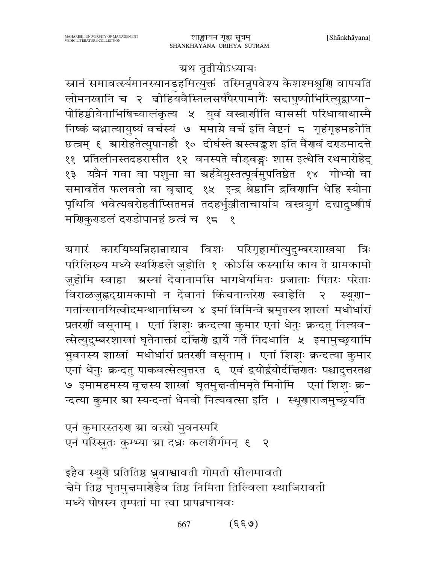#### ग्रथ तृतीयोऽध्यायः

स्नानं समावर्त्स्यमानस्यानडहमित्युक्तं तस्मिन्नुपवेश्य केशश्मश्रूणि वापयति लोमनखानि च २ बीहियवैस्तिलसर्षपैरपामार्गैः सदापुष्पीभिरित्युद्वाप्या-पोहिष्ठीयेनाभिषिच्यालंकृत्य ५ युवं वस्त्राणीति वाससी परिधायाथास्मै निष्कं बधात्यायुष्यं वर्चस्यं ७ ममाग्ने वर्च इति वेष्टनं ८ गृहंगृहमहनेति छत्त्रम् ६ ग्रारोहतेत्युपानहौ १० दीर्घस्ते ग्रस्त्वङ्कश इति वैरावं दराडमादत्ते ११ प्रतिलीनस्तदहरासीत १२ वनस्पते वीड्वङ्गः शास इत्थेति रथमारोहेद् १३ यत्रैनं गवा वा पशुना वा स्रर्हयेयुस्तत्पूर्वमुपतिष्ठेत १४ गोभ्यो वा समावर्तेत फलवतो वा वृत्ताद् १५ इन्द्र श्रेष्ठानि द्रविणानि धेहि स्योना पृथिवि भवेत्यवरोहतीप्सितमन्नं तदहर्भुञ्जीताचार्याय वस्त्रयुगं दद्यादुष्णीषं मणिकुराडलं दराडोपानहं छत्त्रं च १८ १

ग्रगारं कारयिष्यन्निहान्नाद्याय विशः परिगृह्णामीत्युदुम्बरशाखया त्रिः परिलिख्य मध्ये स्थरिडले जुहोति १ कोऽसि कस्यासि काय ते ग्रामकामो जुहोमि स्वाहा अस्यां देवानामसि भागधेयमितः प्रजाताः पितरः परेताः विराळजुह्वद्ग्रामकामो न देवानां किंचनान्तरेण स्वाहेति  $\mathcal{R}$ र्स्थूगा-गर्तान्खानयित्वोदमन्थानासिच्य ४ इमां विमिन्वे ग्रमृतस्य शाखां मधोर्धारां प्रतरर्णी वसूनाम् । एनां शिशः क्रन्दत्या कुमार एनां धेनुः क्रन्दतु नित्यव-त्सेत्युदुम्बरशाखां घृतेनाक्तां दच्चिणे द्वार्ये गर्ते निदधाति ५ इमामुच्छूयामि भुवनस्य शाखां मधोर्धारां प्रतरशीं वसूनाम् । एनां शिशुः क्रन्दत्या कुमार एनां धेनुः क्रन्दतु पाकवत्सेत्युत्तरत ६ एवं द्वयोर्द्वयोर्दचिणतः पश्चादुत्तरतश्च ७ इमामहमस्य वृत्तस्य शाखां घृतमुत्तन्तीममृते मिनोमि एनां शिशः क्र-न्दत्या कुमार ग्रा स्यन्दन्तां धेनवो नित्यवत्सा इति । स्थूणाराजमुच्छूयति

एनं कुमारस्तरुग स्रा वत्सो भुवनस्परि एनं परिस्नुतः कुम्भ्या स्रा दध्नः कलशैर्गमन् १ २

इहैव स्थूर्य प्रतितिष्ठ ध्रुवाश्वावती गोमती सीलमावती चेमे तिष्ठ घृतमुच्चमार्ग्रहैव तिष्ठ निमिता तिल्विला स्थाजिरावती मध्ये पोषस्य तृम्पतां मा त्वा प्रापन्नघायवः

> $(\mathcal{E}\mathcal{E}\mathcal{A})$ 667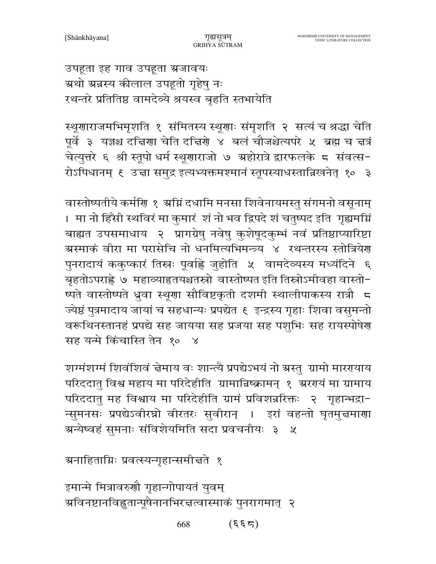उपहूता इह गाव उपहूता भ्रजावयः ग्रथो ग्रन्नस्य कीलाल उपहूतो गृहेषु नः रथन्तरे प्रतितिष्ठ वामदेव्ये श्रयस्व बृहति स्तभायेति

स्थूणाराजमभिमृशति १ संमितस्य स्थूणाः संमृशति २ सत्यं च श्रद्धा चेति पूर्वे ३ यज्ञश्च दचिरणा चेति दचिरणे ४ बलं चौजश्चेत्यपरे ५ ब्रह्म च चत्रं चेत्युत्तरे ६ श्री स्तूपो धर्म स्थूणाराजो ७ ग्रहोरात्रे द्वारफलके ८ संवत्स-रोऽपिधानम् ६ उच्चा समुद्र इत्यभ्यक्तमश्मानं स्तूपस्याधस्तान्निखनेत् १० ३

वास्तोष्पतीये कर्मणि १ अग्निं दधामि मनसा शिवेनायमस्तु संगमनो वसूनाम् । मा नो हिँसी स्थविरं मा कुमारं शं नो भव द्विपदे शं चतुष्पद इति गृह्यमग्नि बाह्यत उपसमाधाय २ प्रागग्रेषु नवेषु कुशेषूदकुम्भं नवं प्रतिष्ठाप्यारिष्टा ग्रस्माकं वीरा मा परासेचि नो धनमित्यभिमन्त्र्य ४ रथन्तरस्य स्तोत्रियेण पुनरादायं ककुप्कारं तिस्नः पूर्वाह्ले जुहोति ५ वामदेव्यस्य मध्यंदिने ६ बृहतोऽपराह्ले ७ महाव्याहृतयश्चतस्रो वास्तोष्पत इति तिस्रोऽमीवहा वास्तो-ष्पते वास्तोष्पते ध्रुवा स्थूणा सौविष्टकृती दशमी स्थालीपाकस्य रात्रौ 5 ज्येष्ठं पुत्रमादाय जायां च सहधान्यः प्रपद्येत ६ इन्द्रस्य गृहाः शिवा वसुमन्तो वरूथिनस्तानहं प्रपद्ये सह जायया सह प्रजया सह पशुभिः सह रायस्पोषेण सह यन्मे किंचास्ति तेन १० ४

शग्मंशग्मं शिवंशिवं न्नेमाय वः शान्त्यै प्रपद्येऽभयं नो ग्रस्तु ग्रामो माररयाय परिददातु विश्व महाय मा परिदेहीति ग्रामान्निष्क्रामन् १ अरग्यं मा ग्रामाय परिददातु मह विश्वाय मा परिदेहीति ग्रामं प्रविशन्नरिक्तः २ गृहान्भद्रा-न्सुमनसः प्रपद्येऽवीरघ्नो वीरतरः सुवीरान् । इरां वहन्तो घृतमुच्चमाणा ग्र्रन्येष्वहं सुमनाः संविशेयमिति सदा प्रवचनीयः ३  $\chi$ 

ग्रनाहिताग्निः प्रवत्स्यन्गृहान्समीत्तते १

इमान्मे मित्रावरुणौ गृहान्गोपायतं युवम् ञ्चविनष्टानविह्नुतान्पूषैनानभिरत्तत्वास्माकं पुनरागमात् २

> $(\xi \xi \Delta)$ 668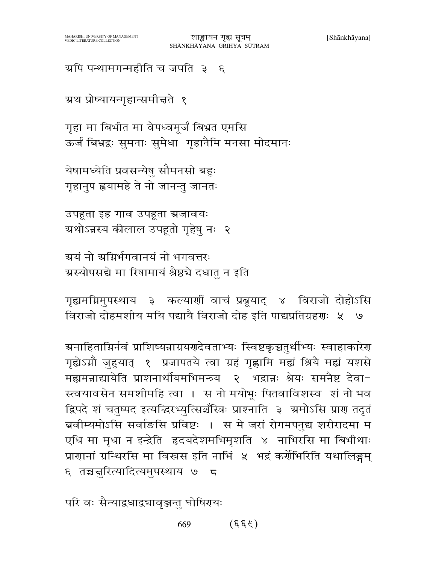ग्र्याप पन्थामगन्महीति च जपति ३ ६

ग्रथ प्रोष्यायन्गृहान्समीत्तते १

गृहा मा बिभीत मा वेपध्वमूर्जं बिभ्रत एमसि ऊर्जं बिभ्रद्रः सुमनाः सुमेधा गृहानैमि मनसा मोदमानः

येषामध्येति प्रवसन्येषु सौमनसो बहुः गृहानुप ह्रयामहे ते नो जानन्तु जानतः

उपहूता इह गाव उपहूता ग्रजावयः ग्रथोऽन्नस्य कीलाल उपहूतो गृहेषु नः २

ग्र्यं नो ग्रग्निर्भगवानयं नो भगवत्तरः ग्रस्योपसद्ये मा रिषामायं श्रैष्ठचे दधातु न इति

गृह्यमग्निमुपस्थाय ३ कल्याणीं वाचं प्रब्रूयाद् ४ विराजो दोहोऽसि विराजो दोहमशीय मयि पद्यायै विराजो दोह इति पाद्यप्रतिग्रहणः ५ ७

ग्रनाहिताग्निर्नवं प्राशिष्यन्नाग्रयणदेवताभ्यः स्विष्टकृञ्चतुर्थीभ्यः स्वाहाकारेण गृह्येऽग्नौ जुहुयात् १ प्रजापतये त्वा ग्रहं गृह्णामि मह्यं श्रियै मह्यं यशसे मह्यमन्नाद्यायेति प्राशनार्थीयमभिमन्त्र्य भद्रान्नः श्रेयः समनैष्ट देवा- $\zeta$ स्त्वयावसेन समशीमहि त्वा । स नो मयोभूः पितवाविशस्व शं नो भव द्विपदे शं चतुष्पद इत्यद्धिरभ्युत्सिञ्चॅस्त्रिः प्राश्नाति ३ अमोऽसि प्राण तदृतं ब्रवीम्यमोऽसि सर्वाङसि प्रविष्टः । स मे जरां रोगमपनुद्य शरीरादमा म एधि मा मृधा न इन्द्रेति हृदयदेशमभिमृशति ४ नाभिरसि मा बिभीथाः प्राणानां ग्रन्थिरसि मा विस्त्रस इति नाभिं ५ भद्रं कर्णेभिरिति यथालिङ्गम् ६ तञ्चनुरित्यादित्यमुपस्थाय ७  $\overline{a}$ 

परि वः सैन्याद्रधाद्र्यावृञ्जन्तु घोषिरायः

 $(\xi \xi \xi)$ 669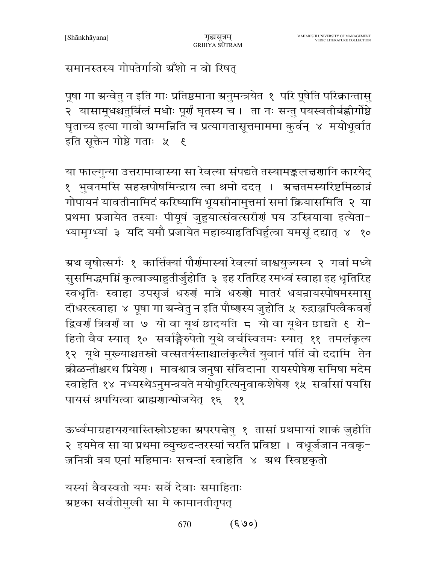## समानस्तस्य गोपतेर्गावो ग्रँशो न वो रिषत्

पूषा गा ग्रन्वेतु न इति गाः प्रतिष्ठमाना ग्रनुमन्त्रयेत १ परि पूषेति परिक्रान्तासु २ यासामूधश्चतुर्बिलं मधोः पूर्णं घृतस्य च । ता नः सन्तु पयस्वतीर्बह्वीर्गोष्ठे घृताच्य इत्या गावो स्रग्मन्निति च प्रत्यागतासूत्तमाममा कुर्वन् ४ मयोभूर्वात इति सूक्तेन गोष्ठे गताः ५ ६

या फाल्गुन्या उत्तरामावास्या सा रेवत्या संपद्यते तस्यामङ्कलच्चणानि कारयेद् १ भुवनमसि सहस्रपोषमिन्द्राय त्वा श्रमो ददत् । ग्रज्ञतमस्यरिष्टमिळान्नं गोपायनं यावतीनामिदं करिष्यामि भूयसीनामुत्तमां समां क्रियासमिति २ या प्रथमा प्रजायेत तस्याः पीयूषं जुहुयात्संवत्सरीणं पय उस्त्रियाया इत्येता-भ्यामृग्भ्यां ३ यदि यमौ प्रजायेत महाव्याहृतिभिर्हुत्वा यमसूं दद्यात् ४ १०

ग्रथ वृषोत्सर्गः १ कार्त्तिक्यां पौर्णमास्यां रेवत्यां वाश्वयुज्यस्य २ गवां मध्ये सुसमिद्धमग्निं कृत्वाज्याहुतीर्जुहोति ३ इह रतिरिह रमध्वं स्वाहा इह धृतिरिह स्वधृतिः स्वाहा उपसृजं धरुणं मात्रे धरुणो मातरं धयन्रायस्पोषमस्मासु दीधरत्स्वाहा ४ पूषा गा ग्रन्वेतु न इति पौष्णस्य जुहोति ५ रुद्राञ्जपित्वैकवर्णं द्विवर्णं त्रिवर्णं वा ७ यो वा यूथं छादयति ८ यो वा यूथेन छाद्यते ६ रो− हितो वैव स्यात् १० सर्वाङ्गैरुपेतो यूथे वर्चस्वितमः स्यात् ११ तमलंकृत्य १२ यूथे मुख्याश्चतस्रो वत्सतर्यस्ताश्चालंकृत्यैतं युवानं पतिं वो ददामि तेन क्रीळन्तीश्चरथ प्रियेग । मावश्वात्र जनुषा संविदाना रायस्पोषेग समिषा मदेम स्वाहेति १४ नभ्यस्थेऽनुमन्त्रयते मयोभूरित्यनुवाकशेषेण १५ सर्वासां पयसि पायसं श्रपयित्वा ब्राह्मणान्भोजयेत १६ ११

ऊर्ध्वमाग्रहायरयास्तिस्रोऽष्टका ग्रपरपद्मेषु १ तासां प्रथमायां शाकं जुहोति २ इयमेव सा या प्रथमा व्युच्छदन्तरस्यां चरति प्रविष्टा । वधूर्जजान नवकृ-जनित्री त्रय एनां महिमानः सचन्तां स्वाहेति ४ अथ स्विष्टकृतो

यस्यां वैवस्वतो यमः सर्वे देवाः समाहिताः ग्रष्टका सर्वतोमुखी सा मे कामानतीतृपत्

> $(\mathcal{S} \mathcal{A})$ 670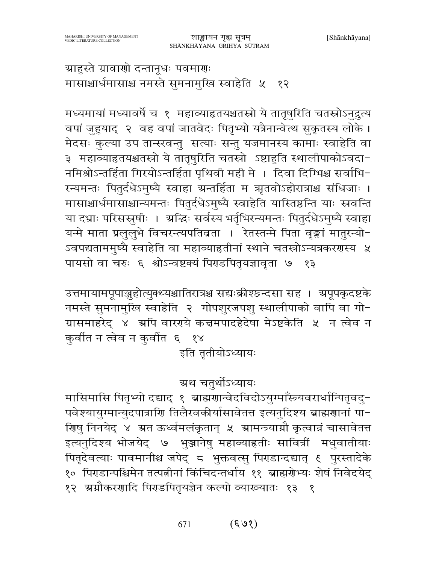ग्राहुस्ते ग्रावाणो दन्तानूधः पवमाणः मासाश्चार्धमासाश्च नमस्ते सुमनामुखि स्वाहेति ५ १२

मध्यमायां मध्यावर्षे च १ महाव्याहृतयश्चतस्त्रो ये तातृषुरिति चतस्रोऽनुद्रुत्य वपां जुहुयाद् २ वह वपां जातवेदः पितृभ्यो यत्रैनान्वेत्थ सुकृतस्य लोके। मेदसः कुल्या उप तान्स्खन्तु सत्याः सन्तु यजमानस्य कामाः स्वाहेति वा ३ महाव्याहृतयश्चतस्रो ये तातृषुरिति चतस्रो ऽष्टाहुति स्थालीपाकोऽवदा-नमिश्रोऽन्तर्हिता गिरयोऽन्तर्हिता पृथिवी मही मे । दिवा दिग्भिश्च सर्वाभि-रन्यमन्तः पितुर्दधेऽमुष्यै स्वाहा ग्रन्तर्हिता म ऋतवोऽहोरात्राश्च संधिजाः । मासाश्चार्धमासाश्चान्यमन्तः पितुर्दधेऽमुष्यै स्वाहेति यास्तिष्ठन्ति याः स्रवन्ति या दभ्राः परिसस्नुषीः । अद्धिः सर्वस्य भर्तृभिरन्यमन्तः पितुर्दधेऽमुष्यै स्वाहा यन्मे माता प्रलुलुभे विचरन्त्यपतिव्रता । रेतस्तन्मे पिता वृङ्कां मातुरन्यो-ऽवपद्यताममुष्यै स्वाहेति वा महाव्याहृतीनां स्थाने चतस्रोऽन्यत्रकरणस्य ५ पायसो वा चरुः ६ श्वोऽन्वष्टक्यं पिराडपितृयज्ञावृता ७ १३

उत्तमायामपूपाञ्जुहोत्युक्थ्यश्चातिरात्रश्च सद्यःक्रीश्छन्दसा सह । अपूपकृदष्टके नमस्ते सुमनामुखि स्वाहेति २ गोपशुरजपशु स्थालीपाको वापि वा गो-ग्रासमाहरेद् ४ अपि वारगये कन्नमपादहेदेषा मेऽष्टकेति ५ न त्वेव न कुर्वीत न त्वेव न कुर्वीत ६ १४

इति तृतीयोऽध्यायः

# ग्रथ चतुर्थोऽध्यायः

मासिमासि पितृभ्यो दद्याद् १ ब्राह्मणान्वेदविदोऽयुग्माँस्त्र्यवरार्धान्पितृवदु-पवेश्यायुग्मान्युदपात्राणि तिलैरवकीर्यासावेतत्त इत्यनुदिश्य ब्राह्मणानां पा-णिषु निनयेद् ४ ग्रत ऊर्ध्वमलंकृतान् ५ ग्रामन्त्र्याग्नौ कृत्वान्नं चासावेतत्त इत्यनुदिश्य भोजयेद् ७ भुञ्जानेषु महाव्याहृतीः सावित्रीं मधुवातीयाः पितृदेवत्याः पावमानीश्च जपेद् ८ भुक्तवत्सु पिराडान्दद्यात् ९ पुरस्तादेके १० पिराडान्पश्चिमेन तत्पत्नीनां किंचिदन्तर्धाय ११ ब्राह्मर्णेभ्यः शेषं निवेदयेद् १२ ग्र्यांकरणादि पिराडपितृयज्ञेन कल्पो व्याख्यातः १३ १

> $(\xi \varrho)$ 671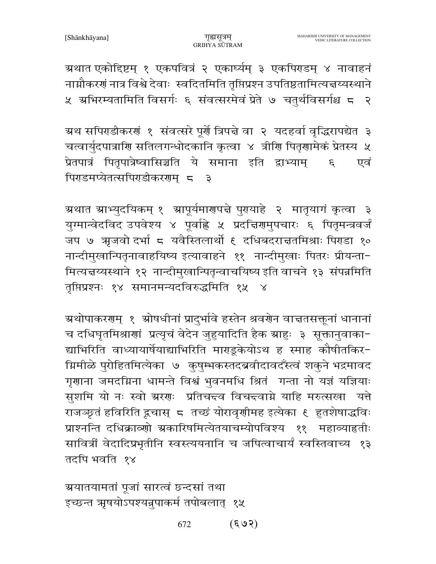ग्रथात एकोद्दिष्टम् १ एकपवित्रं २ एकार्घ्यम् ३ एकपिराडम् ४ नावाहनं नाग्नौकरणं नात्र विश्वे देवाः स्वदितमिति तृप्तिप्रश्न उपतिष्ठतामित्यज्ञय्यस्थाने ५ अभिरम्यतामिति विसर्गः ६ संवत्सरमेवं प्रेते ७ चतुर्थविसर्गश्च ८ २

ग्रथ सपिराडीकरणं १ संवत्सरे पूर्णे त्रिपद्मे वा २ यदहर्वा वृद्धिरापद्येत ३ चत्वार्युदपात्राणि सतिलगन्धोदकानि कृत्वा ४ त्रीणि पितृणामेकं प्रेतस्य ५ प्रेतपात्रं पितृपात्रेष्वासिञ्चति ये समाना इति द्वाभ्याम्  $\mathcal{E}$ एवं पिराडमप्येतत्सपिराडीकरराम् ८  $\overline{\mathbf{z}}$ 

ग्र्रथात ग्राभ्युदयिकम् १ ग्रापूर्यमारणपत्ने पुरायाहे २ मातृयागं कृत्वा ३ युग्मान्वेदविद उपवेश्य ४ पूर्वाह्ले ५ प्रदत्तिरामुपचारः ६ पितृमन्त्रवर्जं जप ७ ऋजवो दर्भा ८ यवैस्तिलार्थो ६ दधिबदराज्ञतमिश्राः पिराडा १० नान्दीमुखान्पितृनावाहयिष्य इत्यावाहने ११ नान्दीमुखाः पितरः प्रीयन्ता-मित्यन्तय्यस्थाने १२ नान्दीमुखान्पितृन्वाचयिष्य इति वाचने १३ संपन्नमिति तृप्तिप्रश्नः १४ समानमन्यदविरुद्धमिति १५

ग्रथोपाकरणम् १ ग्रोषधीनां प्रादुर्भावे हस्तेन श्रवणेन वाचतसक्तूनां धानानां च दधिघृतमिश्राणां प्रत्यृचं वेदेन जुहुयादिति हैक स्राहुः ३ सूक्तानुवाका− द्याभिरिति वाध्यायार्षेयाद्याभिरिति माराडूकेयोऽथ ह स्माह कौषीतकिर-ग्निमीळे पुरोहितमित्येका ७ कुषुम्भकस्तदब्रवीदावदँस्त्वं शकुने भद्रमावद गृणाना जमदग्निना धामन्ते विश्वं भुवनमधि श्रितं गन्ता नो यज्ञं यज्ञियाः सुशमि यो नः स्वो ग्ररणः प्रतिचन्दव विचन्दवाग्ने याहि मरुत्सखा यत्ते राजञ्छ्तं हविरिति द्रचास् ८ तच्छं योरावृणीमह इत्येका ६ हुतशेषाद्धविः प्राश्नन्ति दधिक्राव्णो ग्रकारिषमित्येतयाचम्योपविश्य ११ महाव्याहृतीः सावित्रीं वेदादिप्रभृतीनि स्वस्त्ययनानि च जपित्वाचार्यं स्वस्तिवाच्य १३ तदपि भवति १४

ग्रयातयामतां पूजां सारत्वं छन्दसां तथा इच्छन्त ऋषयोऽपश्यन्नुपाकर्म तपोबलात् १५

> $(503)$ 672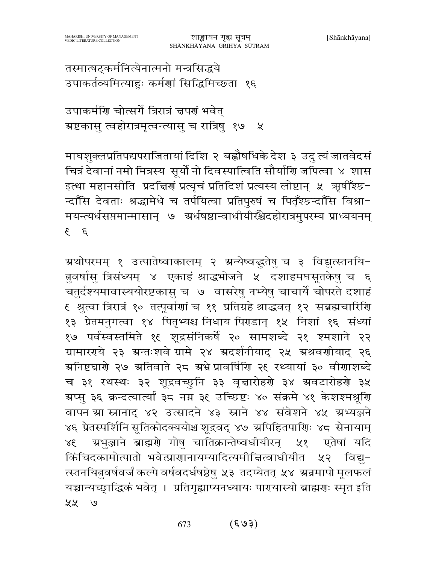तस्मात्षट्कर्मनित्येनात्मनो मन्त्रसिद्धये उपाकर्तव्यमित्याहुः कर्मणां सिद्धिमिच्छता १६

उपाकर्माण चोत्सर्गे त्रिरात्रं न्नपणं भवेत् ग्रष्टकासु त्वहोरात्रमृत्वन्त्यासु च रात्रिषु १७ ५

माघशुक्लप्रतिपद्यपराजितायां दिशि २ बह्रौषधिके देश ३ उदु त्यं जातवेदसं चित्रं देवानां नमो मित्रस्य सूर्यो नो दिवस्पात्विति सौर्याणि जपित्वा ४ शास इत्था महानसीति प्रदच्चिणं प्रत्यृचं प्रतिदिशं प्रत्यस्य लोष्टान् ५ ऋषीँश्छ-न्दाँसि देवताः श्रद्धामेधे च तर्पयित्वा प्रतिपुरुषं च पितृँश्छन्दाँसि विश्रा-मयन्त्यर्धसप्तमान्मासान् ७ अर्धषष्ठान्वाधीयीरॅथ्रेदहोरात्रमुपरम्य प्राध्ययनम्  $\zeta$   $\zeta$ 

ग्रथोपरमम् १ उत्पातेष्वाकालम् २ ग्रन्येष्वद्धतेषु च ३ विद्युत्स्तनयि-तुवर्षासु त्रिसंध्यम् ४ एकाहं श्राद्धभोजने ५ दशाहमघसूतकेषु च ६ चतुर्दश्यमावास्ययोरष्टकासु च ७ वासरेषु नभ्येषु चाचार्ये चोपरते दशाहं ६ श्रुत्वा त्रिरात्रं १० तत्पूर्वाणां च ११ प्रतिग्रहे श्राद्धवत् १२ सब्रह्मचारिणि १३ प्रेतमनुगत्वा १४ पितृभ्यश्च निधाय पिराडान् १५ निशां १६ संध्यां १७ पर्वस्वस्तमिते १६ शूद्रसंनिकर्षे २० सामशब्दे २१ श्मशाने २२ ग्रामारराये २३ ग्रन्तःशवे ग्रामे २४ ग्रदर्शनीयाद् २५ ग्रश्रवर्णीयाद् २६ अनिष्टघारो २७ अतिवाते २८ अभ्रे प्रावर्षिरि २९ रथ्यायां ३० वीरााशब्दे च ३१ रथस्थः ३२ शूद्रवच्छुनि ३३ वृत्तारोहरो ३४ स्रवटारोहरो ३५ ग्रप्स् ३६ क्रन्दत्यार्त्यां ३८ नग्न ३९ उच्छिष्टः ४० संक्रमे ४१ केशश्मश्रूणि वापन स्रा स्नानाद ४२ उत्सादने ४३ स्त्राने ४४ संवेशने ४५ म्रभ्यञ्जने ४६ प्रेतस्पर्शिनि सूतिकोदक्ययोश्च शूद्रवद् ४७ अपिहितपार्शिः ४८ सेनायाम् ग्रभुञ्जाने ब्राह्मणे गोषु चातिक्रान्तेष्वधीयीरन् ५१ एतेषां यदि  $38<sup>′</sup>$ किंचिदकामोत्पातो भवेत्प्राणानायम्यादित्यमीचित्वाधीयीत ५२ विद्य– त्स्तनयितुवर्षवर्जं कल्पे वर्षवदर्धषष्ठेषु ५३ तदप्येतत् ५४ ग्रन्नमापो मूलफलं यच्चान्यच्छ्राद्धिकं भवेत् । प्रतिगृह्याप्यनध्यायः पारायास्यो ब्राह्मराः स्मृत इति ५५ ७

#### $(\xi \rho)$ 673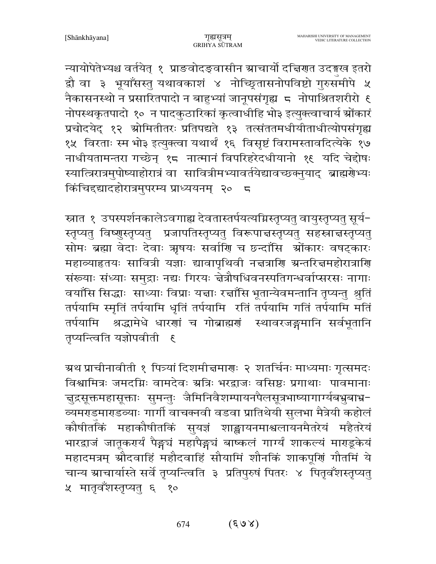न्यायोपेतेभ्यश्च वर्तयेत् १ प्राङवोदङ्वासीन स्राचार्यो दच्चिणत उदङ्गख इतरो द्वौ वा ३ भूयाँसस्तु यथावकाशं ४ नोच्छितासनोपविष्टो गुरुसमीपे ५ नैकासनस्थो न प्रसारितपादो न बाहुभ्यां जानूपसंगृह्य ८ नोपाश्रितशरीरो ६ नोपस्थकृतपादो १० न पादकुठारिकां कृत्वाधीहि भो३ इत्युक्त्वाचार्य श्रोंकारं प्रचोदयेद् १२ स्रोमितीतरः प्रतिपद्यते १३ तत्संततमधीयीताधीत्योपसंगृह्य १५ विरताः स्म भो३ इत्युक्त्वा यथार्थं १६ विसृष्टं विरामस्तावदित्येके १७ नाधीयतामन्तरा गच्छेन् १८ नात्मानं विपरिहरेदधीयानो १९ यदि चेद्दोषः स्यात्त्रिरात्रमुपोष्याहोरात्रं वा सावित्रीमभ्यावर्तयेद्यावच्छक्नुयाद् ब्राह्मग्रेभ्यः किंचिद्द्यादहोरात्रमुपरम्य प्राध्ययनम् २० ८

स्नात १ उपस्पर्शनकालेऽवगाह्य देवतास्तर्पयत्यग्निस्तृप्यतु वायुस्तृप्यतु सूर्य-स्तृप्यतु विष्णुस्तृप्यतु प्रजापतिस्तृप्यतु विरूपाच्चस्तृप्यतु सहस्राच्चस्तृप्यतु सोमः ब्रह्मा वेदाः देवाः ऋषयः सर्वाणि च छन्दाँसि श्रोंकारः वषट्कारः महाव्याहृतयः सावित्री यज्ञाः द्यावापृथिवी नज्ञत्राणि ग्रन्तरिज्ञमहोरात्राणि संख्याः संध्याः समुद्राः नद्यः गिरयः चेत्रौषधिवनस्पतिगन्धर्वाप्सरसः नागाः वयाँसि सिद्धाः साध्याः विप्राः यज्ञाः रज्ञाँसि भूतान्येवमन्तानि तृप्यन्तु श्रुतिं तर्पयामि स्मृतिं तर्पयामि धृतिं तर्पयामि रतिं तर्पयामि गतिं तर्पयामि मतिं तर्पयामि श्रद्धामेधे धारणां च गोब्राह्मणं स्थावरजङ्गमानि सर्वभूतानि तृप्यन्त्विति यज्ञोपवीती ६

ग्र्रथ प्राचीनावीती १ पित्र्यां दिशमीत्तमाराः २ शतर्चिनः माध्यमाः गृत्समदः विश्वामित्रः जमदग्निः वामदेवः स्रत्रिः भरद्वाजः वसिष्ठः प्रगाथाः पावमानाः चुद्रसूक्तमहासूक्ताः सुमन्तुः जैमिनिवैशम्पायनपैलसूत्रभाष्यागार्ग्यबभ्रुबाभ्र− व्यमराडमाराडव्याः गार्गी वाचक्नवी वडवा प्रातिथेयी सुलभा मैत्रेयी कहोलं कौषीतकिं महाकौषीतकिं सुयज्ञं शाङ्खायनमाश्वलायनमैतरेयं महैतरेयं भारद्वाजं जातूकरार्यं पैङ्गचं महापैङ्गचं बाष्कलं गार्ग्यं शाकल्यं माराडूकेयं महादमत्रम् स्रौदवाहिं महौदवाहिं सौयामिं शौनकिं शाकपूर्णि गौतमिं ये चान्य ग्राचार्यास्ते सर्वे तृप्यन्त्विति ३ प्रतिपुरुषं पितरः ४ पितृवँशस्तृप्यतु ५ मातृवँशस्तृप्यतु ६ १०

> $(S \cup S)$ 674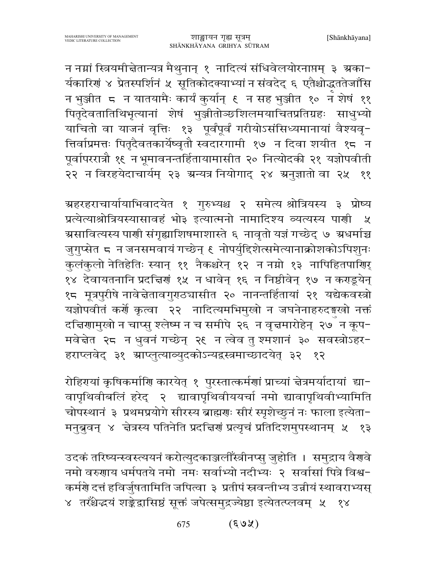न नग्नां स्त्रियमीचेतान्यत्र मैथुनान् १ नादित्यं संधिवेलयोरनाप्तम् ३ ग्रका-र्यकारिणं ४ प्रेतस्पर्शिनं ५ सूतिकोदक्याभ्यां न संवदेद् ६ एतैश्चोद्धततेजाँसि न भुञ्जीत 5 न यातयामैः कार्यं कुर्यान् ६ न सह भुञ्जीत १० न शेषं ११ पितृदेवतातिथिभृत्यानां शेषं भुञ्जीतोञ्छशिलमयाचितप्रतिग्रहः साधुभ्यो याचितो वा याजनं वृत्तिः १३ पूर्वंपूर्वं गरीयोऽसंसिध्यमानायां वैश्यवृ-त्तिर्वाप्रमत्तः पितृदैवतकार्येष्वृतौ स्वदारगामी १७ न दिवा शयीत १८ न पूर्वापररात्रौ १६ न भूमावनन्तर्हितायामासीत २० नित्योदकी २१ यज्ञोपवीती २२ न विरहयेदाचार्यम् २३ ग्रन्यत्र नियोगाद् २४ ग्रनुज्ञातो वा २५ ११

ग्रहरहराचार्यायाभिवादयेत १ गुरुभ्यश्च २ समेत्य श्रोत्रियस्य ३ प्रोष्य प्रत्येत्याश्रोत्रियस्यासावहं भो३ इत्यात्मनो नामादिश्य व्यत्यस्य पाणी ५ ग्रसावित्यस्य पाणी संगृह्याशिषमाशास्ते ६ नावृतो यज्ञं गच्छेद् ७ ग्रधर्माञ्च जुगुप्सेत ८ न जनसमवायं गच्छेन् ९ नोपर्युद्दिशेत्समेत्यानाक्रोशकोऽपिशुनः कुलंकुलो नेतिहेतिः स्यान् ११ नैकश्चरेन् १२ न नग्नो १३ नापिहितपाणिर् १४ देवायतनानि प्रदच्चिणं १५ न धावेन् १६ न निष्ठीवेन् १७ न कराडूयेन् १८ मूत्रपुरीषे नावेचेतावगुराठ्यासीत २० नानन्तर्हितायां २१ यद्येकवस्त्रो यज्ञोपवीतं कर्णे कृत्वा २२ नादित्यमभिमुखो न जघनेनाहरुदङ्गखो नक्तं दचििणामुखो न चाप्सु श्लेष्म न च समीपे २६ न वृत्तमारोहेन् २७ँ न कूप− मवेन्नेत २८ न धुवनं गच्छेन् २६ न त्वेव तु श्मशानं ३० सवस्त्रोऽहर-हराप्लवेद् ३१ स्राप्लुत्याव्युदकोऽन्यद्वस्त्रमाच्छादयेत् ३२ १२

रोहिरायां कृषिकर्माणि कारयेत् १ पुरस्तात्कर्मणां प्राच्यां चेत्रमर्यादायां द्या− वापृथिवीबलिं हरेद् २ द्यावापृथिवीययर्चा नमो द्यावापृथिवीभ्यामिति चोपस्थानं ३ प्रथमप्रयोगे सीरस्य ब्राह्मणः सीरं स्पृशेच्छुनं नः फाला इत्येता-मनुब्रुवन् ४ चेत्रस्य पतिनेति प्रदच्चिणं प्रत्यृचं प्रतिदिशमुपस्थानम् ५ १३

उदकं तरिष्यन्स्वस्त्ययनं करोत्युदकाञ्जलीँस्त्रीनप्सु जुहोति । समुद्राय वैर्णवे नमो वरुगाय धर्मपतये नमो नमः सर्वाभ्यो नदीभ्यः २ सर्वासां पित्रे विश्व-कर्मणे दत्तं हविर्जुषतामिति जपित्वा ३ प्रतीपं स्नवन्तीभ्य उन्नीयं स्थावराभ्यस् ४ तस्थेदयं शङ्केद्रासिष्ठं सूक्तं जपेत्समुद्रज्येष्ठा इत्येतत्प्लवम् ५ १४

> $(803)$ 675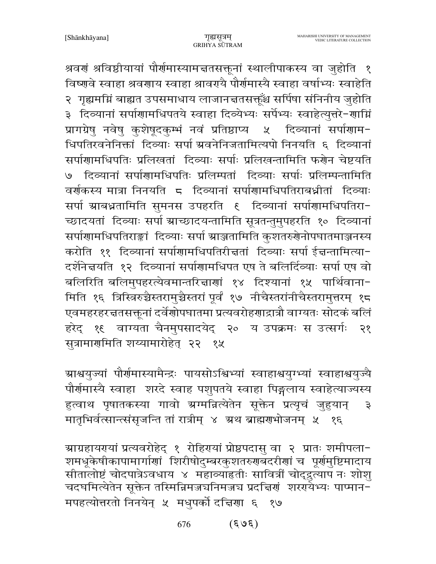श्रवणं श्रविष्ठीयायां पौर्णमास्यामचतसक्तूनां स्थालीपाकस्य वा जुहोति १ विष्णवे स्वाहा श्रवणाय स्वाहा श्रावरायै पौर्णमास्यै स्वाहा वर्षाभ्यः स्वाहेति २) गृह्यमग्निं बाह्यत उपसमाधाय लाजानत्ततसक्तूँश्च सर्पिषा संनिनीय जुहोति ३ दिव्यानां सर्पाणामधिपतये स्वाहा दिव्येभ्यः सर्पेभ्यः स्वाहेत्युत्तरे-णाग्निं प्रागग्रेषु नवेषु कुशेषुदकुम्भं नवं प्रतिष्ठाप्य ५ दिव्यानां सर्पाणाम-धिपतिरवनेनिक्तां दिव्याः सर्पा ग्रवनेनिजतामित्यपो निनयति ६ दिव्यानां सर्पाणामधिपतिः प्रलिखतां दिव्याः सर्पाः प्रलिखन्तामिति फर्णेन चेष्टयति ७ दिव्यानां सर्पाणामधिपतिः प्रलिम्पतां दिव्याः सर्पाः प्रलिम्पन्तामिति वर्णकस्य मात्रा निनयति 5 दिव्यानां सर्पाणामधिपतिराबध्नीतां दिव्याः सर्पा ग्राबध्नतामिति सुमनस उपहरति १ दिव्यानां सर्पाणामधिपतिरा-च्छादयतां दिव्याः सर्पा ग्राच्छादयन्तामिति सूत्रतन्तुमुपहरति १० दिव्यानां सर्पाणामधिपतिराङ्कां दिव्याः सर्पा स्राञ्जतामिति कुशतरुगेनोपघातमाञ्जनस्य करोति ११ दिव्यानां सर्पाणामधिपतिरीचतां दिव्याः सर्पा ईच्चन्तामित्या-दर्शनेचयति १२ दिव्यानां सर्पाणामधिपत एष ते बलिर्दिव्याः सर्पा एष वो बलिरिति बलिमुपहरत्येवमान्तरिज्ञाणां १४ दिश्यानां १५ पार्थिवाना-मिति १६ त्रिस्त्रिरुच्चैस्तरामुच्चैस्तरां पूर्वं १७ नीचैस्तरांनीचैस्तरामुत्तरम् १८ एवमहरहरद्वतसक्तूनां दर्वेणोपघातमा प्रत्यवरोहणाद्रात्रौ वाग्यतः सोदकं बलिं हरेद् १६ वाग्यता चैनमुपसादयेद् २० य उपक्रमः स उत्सर्गः २१ सुत्रामार्गमिति शय्यामारोहेत् २२ १५

ग्राश्वयुज्यां पौर्णमास्यामैन्द्रः पायसोऽश्विभ्यां स्वाहाश्वयुग्भ्यां स्वाहाश्वयुज्यै पौर्णमास्यै स्वाहा शरदे स्वाह पशुपतये स्वाहा पिङ्गलाय स्वाहेत्याज्यस्य हुत्वाथ पृषातकस्या गावो ग्रग्मन्नित्येतेन सूक्तेन प्रत्यृचं जुहुयान्  $\mathfrak{F}$ मातृभिर्वत्सान्त्संसृजन्ति तां रात्रीम् ४ अ्रथ ब्राह्मराभोजनम् ५ १६

ग्राग्रहायरयां प्रत्यवरोहेद् १ रोहिरायां प्रोष्ठपदासु वा २ प्रातः शमीपला-शमधूकेषीकापामार्गाणां शिरीषोदुम्बरकुशतरुगबदरीगां च पूर्गमुष्टिमादाय सीतालोष्टं चोदपात्रेऽवधाय ४ महाव्याहतीः सावित्रीं चोद्द्रुत्याप नः शोशु चदघमित्येतेन सूक्तेन तस्मिन्निमज्जर्यानमज्जर्य प्रदत्तिर्णं शरग्येभ्यः पाप्मान-मपहत्योत्तरतो निनयेन् ५ मधुपर्को दचिया ६ १७

> $(\xi \partial \xi)$ 676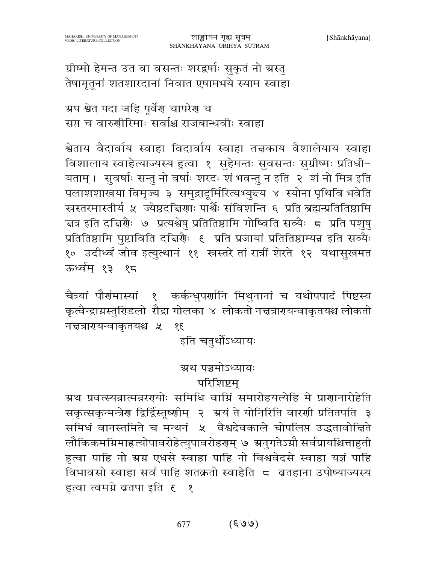ग्रीष्मो हेमन्त उत वा वसन्तः शरद्वर्षाः सुकृतं नो ग्रस्तु तेषामृतूनां शतशारदानां निवात एषामभये स्याम स्वाहा

ग्रप श्वेत पदा जहि पूर्वेण चापरेण च सप्त च वारुणीरिमाः सर्वाश्च राजबान्धवीः स्वाहा

श्वेताय वैदार्वाय स्वाहा विदार्वाय स्वाहा तत्तकाय वैशालेयाय स्वाहा विशालाय स्वाहेत्याज्यस्य हुत्वा १ सुहेमन्तः सुवसन्तः सुग्रीष्मः प्रतिधी-यताम् । सुवर्षाः सन्तु नो वर्षाः शरदः शं भवन्तु न इति २ शं नो मित्र इति पलाशशाखया विमृज्य ३ समुद्रादूर्मिरित्यभ्युद्त्य ४ स्योना पृथिवि भवेति स्रस्तरमास्तीर्य ५ ज्येष्ठदचिणाः पार्श्वैः संविशन्ति ६ प्रति ब्रह्मन्प्रतितिष्ठामि चत्र इति दच्चिर्णैः ७ प्रत्यश्वेषु प्रतितिष्ठामि गोष्विति सव्यैः ८ प्रति पशुषु प्रतितिष्ठामि पुष्टाविति दच्चिर्यैः ६ प्रति प्रजायां प्रतितिष्ठाम्यन्न इति सव्यैः १० उदीर्ध्वं जीव इत्युत्थानं ११ स्त्रस्तरे तां रात्रीं शेरते १२ यथासुखमत ऊर्ध्वम् १३ १८

चैत्र्यां पौर्णमास्यां १ कर्कन्धुपर्णानि मिथुनानां च यथोपपादं पिष्टस्य कृत्वैन्द्राग्नस्तुरिडलो रौद्रा गोलका ४ लोकतो नचन्रारायन्वाकृतयश्च लोकतो नज्ञत्रारायन्वाकृतयश्च ५  $38$ 

इति चतुर्थोऽध्यायः

#### ग्र्रथ पञ्चमोऽध्यायः

#### परिशिष्टम

ग्रथ प्रवत्स्यन्नात्मन्नरगयोः समिधि वाग्निं समारोहयत्येहि मे प्राणानारोहेति सकृत्सकृन्मन्त्रेण द्विर्द्विस्तूष्णीम् २ अयं ते योनिरिति वारणी प्रतितपति ३ समिधं वानस्तमिते च मन्थनं ५ वैश्वदेवकाले चोपलिप्त उद्धतावोचिते लौकिकमग्निमाहत्योपावरोहेत्युपावरोहरणम् ७ ग्रनुगतेऽग्नौ सर्वप्रायश्चित्ताहुती हुत्वा पाहि नो ग्रग्न एधसे स्वाहा पाहि नो विश्ववेदसे स्वाहा यज्ञं पाहि विभावसो स्वाहा सर्वं पाहि शतक्रतो स्वाहेति 5 व्रतहाना उपोष्याज्यस्य हुत्वा त्वमग्ने ब्रतपा इति १ १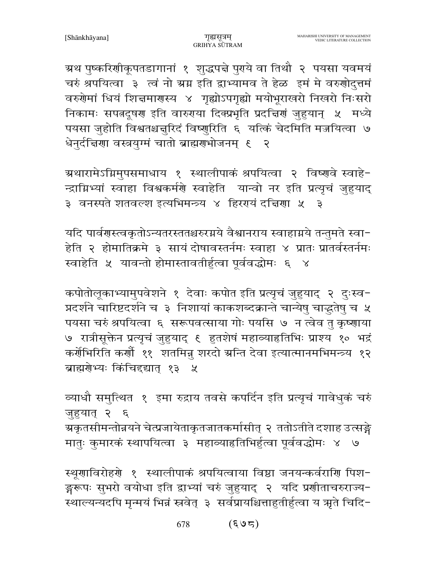ग्रथ पुष्करिणीकूपतडागानां १ शुद्धपद्मे पुरये वा तिथौ २ पयसा यवमयं चरुं श्रपयित्वा ३ त्वं नो ग्रग्न इति द्वाभ्यामव ते हेळ इमं मे वरुणोदुत्तमं वरुगेमां धियं शिज्ञमागस्य ४ गृह्योऽपगृह्यो मयोभूराखरो निखरो निःसरो निकामः सपत्नदूषरा इति वारुरया दिक्प्रभृति प्रदच्चिरां जुहुयान् ५ मध्ये पयसा जुहोति विश्वतश्चन्नुरिदं विष्णुरिति ६ यत्किं चेदमिति मज्जयित्वा ७ धेनुर्दचिणा वस्त्रयुग्मं चातो ब्राह्मणभोजनम् ६ २

ग्रथारामेऽग्निमुपसमाधाय १ स्थालीपाकं श्रपयित्वा २ विष्णुवे स्वाहे-न्द्राग्निभ्यां स्वाहा विश्वकर्मणे स्वाहेति यान्वो नर इति प्रत्यृचं जुहुयाद् ३ वनस्पते शतवल्श इत्यभिमन्त्र्य ४ हिररयं दत्तिरा ५ ३

यदि पार्वणस्त्वकृतोऽन्यतरस्ततश्चरुरग्नये वैश्वानराय स्वाहाग्नये तन्तुमते स्वा-हेति २ होमातिक्रमे ३ सायं दोषावस्तर्नमः स्वाहा ४ प्रातः प्रातर्वस्तर्नमः स्वाहेति ५ यावन्तो होमास्तावतीर्हुत्वा पूर्ववद्धोमः ६ ४

कपोतोलूकाभ्यामुपवेशने १ देवाः कपोत इति प्रत्यृचं जुहुयाद् २ दुःस्व-प्रदर्शने चारिष्टदर्शने च ३ निशायां काकशब्दक्रान्ते चान्येषु चाद्धतेषु च ५ पयसा चरुं श्रपयित्वा ६ सरूपवत्साया गोः पयसि ७ न त्वेव तु कृष्णाया ७ रात्रीसूक्तेन प्रत्यृचं जुहुयाद् ६ हुतशेषं महाव्याहृतिभिः प्राश्य १० भद्रं कर्णेभिरिति कर्णौ ११ शतमिन्न् शरदो ग्रन्ति देवा इत्यात्मानमभिमन्त्र्य १२ ब्राह्मणेभ्यः किंचिद्द्यात् १३ ५

व्याधौ समुत्थित १ इमा रुद्राय तवसे कपर्दिन इति प्रत्यृचं गावेधुकं चरुं जुहुयात् २ ६ ञ्चकृतसीमन्तोन्नयने चेत्प्रजायेताकृतजातकर्मासीत् २ ततोऽतीते दशाह उत्सङ्गे मातुः कुमारकं स्थापयित्वा ३ महाव्याहतिभिर्हुत्वा पूर्ववद्धोमः ४ ७

स्थूणाविरोहणे १ स्थालीपाकं श्रपयित्वाया विष्ठा जनयन्कर्वराणि पिश-ङ्गरूपः सुभरो वयोधा इति द्वाभ्यां चरुं जुहुयाद् २ यदि प्रणीताचरुराज्य-स्थाल्यन्यदपि मृन्मयं भिन्नं स्रवेत् ३ सर्वप्रायश्चित्ताहुतीर्हुत्वा य ऋते चिदि-

> $(505)$ 678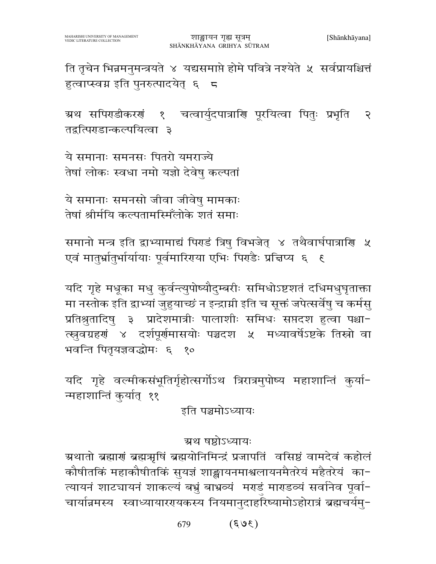ति तृचेन भिन्नमनुमन्त्रयते ४ यद्यसमाप्ते होमे पवित्रे नश्येते ५ सर्वप्रायश्चित्तं हुत्वाप्स्वग्न इति पुनरुत्पादयेत् ६ <del>८</del>

ग्र्रथ सपिराडीकरणं १ चत्वार्युदपात्राणि पूरयित्वा पितुः प्रभृति २ तद्वत्पिराडान्कल्पयित्वा ३

ये समानाः समनसः पितरो यमराज्ये तेषां लोकः स्वधा नमो यज्ञो देवेषु कल्पतां

ये समानाः समनसो जीवा जीवेषु मामकाः तेषां श्रीर्मयि कल्पतामस्मिँलोके शतं समाः

समानो मन्त्र इति द्वाभ्यामाद्यं पिराडं त्रिषु विभजेत् ४ तथैवार्घपात्राणि ५ एवं मातृर्भ्रातुर्भार्यायाः पूर्वमारिरया एभिः पिराडैः प्रत्तिप्य ६ १

यदि गृहे मधूका मधु कुर्वन्त्युपोष्यौदुम्बरीः समिधोऽष्टशतं दधिमधुघृताक्ता मा नस्तोक इति द्वाभ्यां जुहुयाच्छं न इन्द्राम्री इति च सूक्तं जपेत्सर्वेषु च कर्मसु प्रतिश्रुतादिषु ३ प्रादेशमात्रीः पालाशीः समिधः सप्तदश हुत्वा पश्चा-त्स्नुवग्रहणं ४ दर्शपूर्णमासयोः पञ्चदश ५ मध्यावर्षेऽष्टके तिस्रो वा भवन्ति पितुयज्ञवद्धोमः ६ १०

यदि गृहे वर्ल्मीकसंभूतिर्गृहोत्सर्गोऽथ त्रिरात्रमुपोष्य महाशान्तिं कुर्या-न्महाशान्तिं कुर्यात् ११

इति पञ्चमोऽध्यायः

ञ्चथ षष्ठोऽध्यायः

ग्रथातो ब्रह्माणं ब्रह्मऋषिं ब्रह्मयोनिमिन्द्रं प्रजापतिं वसिष्ठं वामदेवं कहोलं कौषीतकिं महाकौषीतकिं सुयज्ञं शाङ्खायनमाश्वलायनमैतरेयं महैतरेयं का-त्यायनं शाटचायनं शाकल्यं बभ्रुं बाभ्रव्यं मराडं माराडव्यं सर्वानेव पूर्वा-चार्यान्नमस्य स्वाध्यायाररयकस्य नियमानुदाहरिष्यामोऽहोरात्रं ब्रह्मचर्यमु-

> $(303)$ 679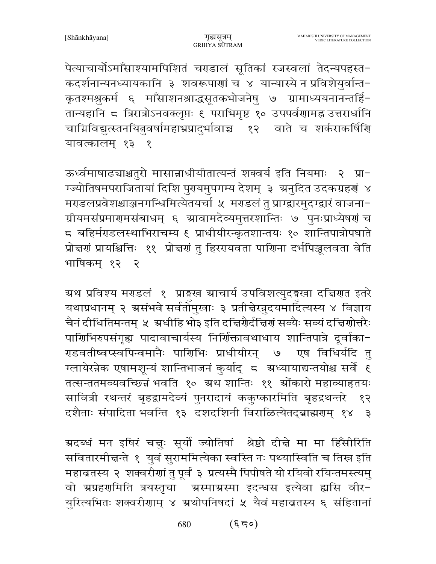पेत्याचार्योऽमाँसाश्यामपिशितं चराडालं सूतिकां रजस्वलां तेदन्यपहस्त-कदर्शनान्यनध्यायकानि ३ शवरूपाणां च ४ यान्यास्ये न प्रविशेयुर्वान्त-कृतश्मश्रुकर्म ६ माँसाशनश्राद्धसूतकभोजनेषु ७ ग्रामाध्ययनानन्तर्हि-तान्यहानि ८ त्रिरात्रोऽनवक्लृप्तः ६ पराभिमृष्ट १० उपपर्वणामह्न उत्तरार्धानि चाग्निविद्युत्स्तनयितुवर्षामहाभ्रप्रादुर्भावाच्च १२ वाते च शर्कराकर्षिणि यावत्कालम् १३ १

ऊर्ध्वमाषाढ्याश्चतुरो मासान्नाधीयीतात्यन्तं शक्वर्य इति नियमाः २ प्रा-ग्ज्योतिषमपराजितायां दिशि पुरायमुपगम्य देशम् ३ अनुदित उदकग्रहणं ४ मराडलप्रवेशश्चाञ्जनगन्धिमित्येतयर्चा ५ मराडलं तु प्राग्द्वारमुदग्द्वारं वाजना− ग्रीयमसंप्रमाणमसंबाधम् ६ स्रावामदेव्यमुत्तरशान्तिः ७ पुनःप्राध्येषणं च 5 बहिर्मराडलस्थाभिराचम्य ६ प्राधीयीरन्कृतशान्तयः १० शान्तिपात्रोपघाते प्रोत्तर्गं प्रायश्चित्तिः ११ प्रोत्तर्गं तु हिरगयवता पागिना दर्भपिञ्जलवता वेति भाषिकम १२ २

ग्रथ प्रविश्य मराडलं १ प्राइख ग्राचार्य उपविशत्युदइखा दक्तिरात इतरे यथाप्रधानम् २ ग्रसंभवे सर्वतोमुखाः ३ प्रतीन्नेरन्नुदयमादित्यस्य ४ विज्ञाय चैनं दीधितिमन्तम् ५ अधीहि भो३ इति दच्चिर्णैर्दचिणं सव्यैः सव्यं दच्चिणोत्तरैः पारिषभिरुपसंगृह्य पादावाचार्यस्य निर्शिक्तावथाधाय शान्तिपात्रे दूर्वाका-राडवतीष्वप्स्वपिन्वमानैः पार्गिभिः प्राधीयीरन् ७ एष विधिर्यदि तु ग्लायेरन्नेक एषामशून्यं शान्तिभाजनं कुर्याद् 5 अध्यायाद्यन्तयोश्च सर्वे ६ तत्सन्ततमव्यवच्छिन्नं भवति १० ग्रथ शान्तिः ११ श्रोंकारो महाव्याहृतयः सावित्री रथन्तरं बृहद्वामदेव्यं पुनरादायं ककुप्कारमिति बृहद्रथन्तरे १२ दशैताः संपादिता भवन्ति १३ दशदशिनी विराळित्येतद्ब्राह्मणम् १४  $\mathfrak{S}$ 

ग्रदब्धं मन इषिरं चत्तुः सूर्यो ज्योतिषां श्रेष्ठो दीचे मा मा हिँसीरिति सवितारमीचन्ते १ युवं सुराममित्येका स्वस्ति नः पथ्यास्विति च तिस्र इति महाब्रतस्य २ शक्वरीणां तु पूर्वं ३ प्रत्यस्मै पिपीषते यो रयिवो रयिन्तमस्त्यमु वो ग्रप्रहर्णामति त्रयस्तृचा श्रस्माग्रस्मा इदन्धस इत्येवा ह्यसि वीर-युरित्यभितः शक्वरीणाम् ४ ग्रथोपनिषदां ५ यैवं महाब्रतस्य ६ संहितानां

> $($ ६ ८०) 680